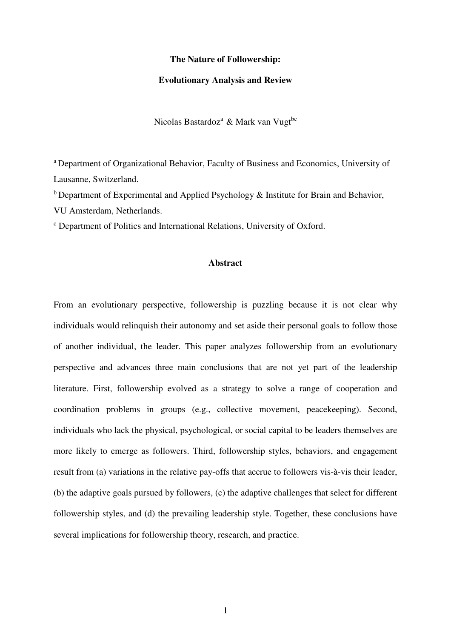#### **The Nature of Followership:**

# **Evolutionary Analysis and Review**

Nicolas Bastardoz<sup>a</sup> & Mark van Vugt<sup>bc</sup>

<sup>a</sup> Department of Organizational Behavior, Faculty of Business and Economics, University of Lausanne, Switzerland.

 $b$  Department of Experimental and Applied Psychology  $\&$  Institute for Brain and Behavior,

VU Amsterdam, Netherlands.

c Department of Politics and International Relations, University of Oxford.

# **Abstract**

From an evolutionary perspective, followership is puzzling because it is not clear why individuals would relinquish their autonomy and set aside their personal goals to follow those of another individual, the leader. This paper analyzes followership from an evolutionary perspective and advances three main conclusions that are not yet part of the leadership literature. First, followership evolved as a strategy to solve a range of cooperation and coordination problems in groups (e.g., collective movement, peacekeeping). Second, individuals who lack the physical, psychological, or social capital to be leaders themselves are more likely to emerge as followers. Third, followership styles, behaviors, and engagement result from (a) variations in the relative pay-offs that accrue to followers vis-à-vis their leader, (b) the adaptive goals pursued by followers, (c) the adaptive challenges that select for different followership styles, and (d) the prevailing leadership style. Together, these conclusions have several implications for followership theory, research, and practice.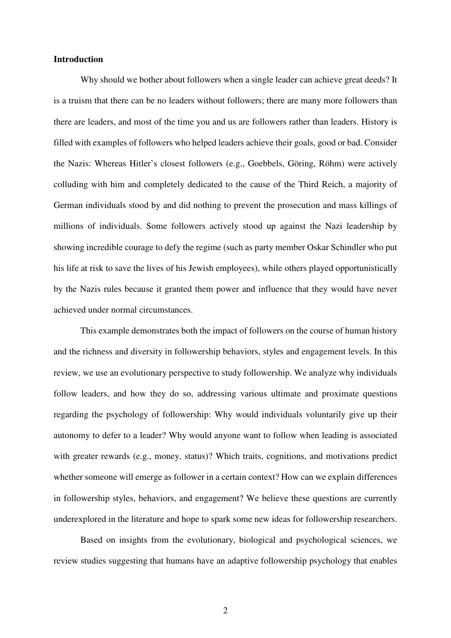# **Introduction**

 Why should we bother about followers when a single leader can achieve great deeds? It is a truism that there can be no leaders without followers; there are many more followers than there are leaders, and most of the time you and us are followers rather than leaders. History is filled with examples of followers who helped leaders achieve their goals, good or bad. Consider the Nazis: Whereas Hitler's closest followers (e.g., Goebbels, Göring, Röhm) were actively colluding with him and completely dedicated to the cause of the Third Reich, a majority of German individuals stood by and did nothing to prevent the prosecution and mass killings of millions of individuals. Some followers actively stood up against the Nazi leadership by showing incredible courage to defy the regime (such as party member Oskar Schindler who put his life at risk to save the lives of his Jewish employees), while others played opportunistically by the Nazis rules because it granted them power and influence that they would have never achieved under normal circumstances.

This example demonstrates both the impact of followers on the course of human history and the richness and diversity in followership behaviors, styles and engagement levels. In this review, we use an evolutionary perspective to study followership. We analyze why individuals follow leaders, and how they do so, addressing various ultimate and proximate questions regarding the psychology of followership: Why would individuals voluntarily give up their autonomy to defer to a leader? Why would anyone want to follow when leading is associated with greater rewards (e.g., money, status)? Which traits, cognitions, and motivations predict whether someone will emerge as follower in a certain context? How can we explain differences in followership styles, behaviors, and engagement? We believe these questions are currently underexplored in the literature and hope to spark some new ideas for followership researchers.

Based on insights from the evolutionary, biological and psychological sciences, we review studies suggesting that humans have an adaptive followership psychology that enables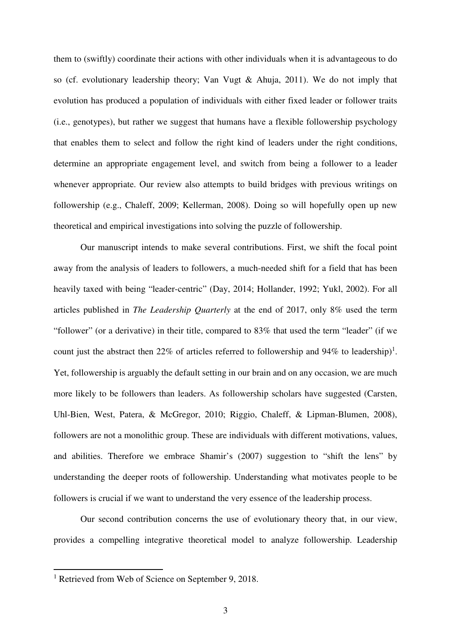them to (swiftly) coordinate their actions with other individuals when it is advantageous to do so (cf. evolutionary leadership theory; Van Vugt & Ahuja, 2011). We do not imply that evolution has produced a population of individuals with either fixed leader or follower traits (i.e., genotypes), but rather we suggest that humans have a flexible followership psychology that enables them to select and follow the right kind of leaders under the right conditions, determine an appropriate engagement level, and switch from being a follower to a leader whenever appropriate. Our review also attempts to build bridges with previous writings on followership (e.g., Chaleff, 2009; Kellerman, 2008). Doing so will hopefully open up new theoretical and empirical investigations into solving the puzzle of followership.

Our manuscript intends to make several contributions. First, we shift the focal point away from the analysis of leaders to followers, a much-needed shift for a field that has been heavily taxed with being "leader-centric" (Day, 2014; Hollander, 1992; Yukl, 2002). For all articles published in *The Leadership Quarterly* at the end of 2017, only 8% used the term "follower" (or a derivative) in their title, compared to 83% that used the term "leader" (if we count just the abstract then 22% of articles referred to followership and 94% to leadership)<sup>1</sup>. Yet, followership is arguably the default setting in our brain and on any occasion, we are much more likely to be followers than leaders. As followership scholars have suggested (Carsten, Uhl-Bien, West, Patera, & McGregor, 2010; Riggio, Chaleff, & Lipman-Blumen, 2008), followers are not a monolithic group. These are individuals with different motivations, values, and abilities. Therefore we embrace Shamir's (2007) suggestion to "shift the lens" by understanding the deeper roots of followership. Understanding what motivates people to be followers is crucial if we want to understand the very essence of the leadership process.

Our second contribution concerns the use of evolutionary theory that, in our view, provides a compelling integrative theoretical model to analyze followership. Leadership

 $\overline{a}$ 

<sup>&</sup>lt;sup>1</sup> Retrieved from Web of Science on September 9, 2018.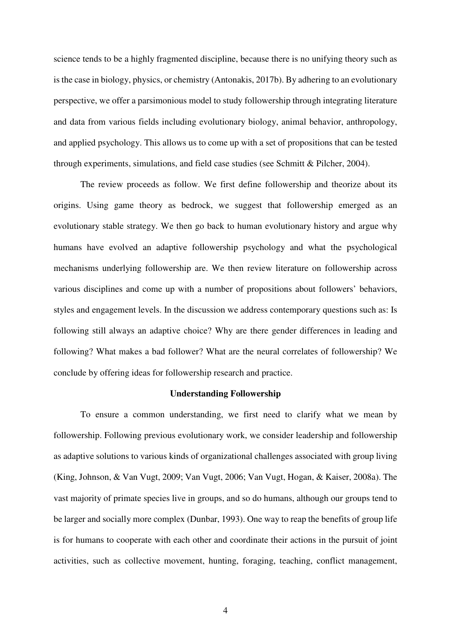science tends to be a highly fragmented discipline, because there is no unifying theory such as is the case in biology, physics, or chemistry (Antonakis, 2017b). By adhering to an evolutionary perspective, we offer a parsimonious model to study followership through integrating literature and data from various fields including evolutionary biology, animal behavior, anthropology, and applied psychology. This allows us to come up with a set of propositions that can be tested through experiments, simulations, and field case studies (see Schmitt & Pilcher, 2004).

The review proceeds as follow. We first define followership and theorize about its origins. Using game theory as bedrock, we suggest that followership emerged as an evolutionary stable strategy. We then go back to human evolutionary history and argue why humans have evolved an adaptive followership psychology and what the psychological mechanisms underlying followership are. We then review literature on followership across various disciplines and come up with a number of propositions about followers' behaviors, styles and engagement levels. In the discussion we address contemporary questions such as: Is following still always an adaptive choice? Why are there gender differences in leading and following? What makes a bad follower? What are the neural correlates of followership? We conclude by offering ideas for followership research and practice.

## **Understanding Followership**

To ensure a common understanding, we first need to clarify what we mean by followership. Following previous evolutionary work, we consider leadership and followership as adaptive solutions to various kinds of organizational challenges associated with group living (King, Johnson, & Van Vugt, 2009; Van Vugt, 2006; Van Vugt, Hogan, & Kaiser, 2008a). The vast majority of primate species live in groups, and so do humans, although our groups tend to be larger and socially more complex (Dunbar, 1993). One way to reap the benefits of group life is for humans to cooperate with each other and coordinate their actions in the pursuit of joint activities, such as collective movement, hunting, foraging, teaching, conflict management,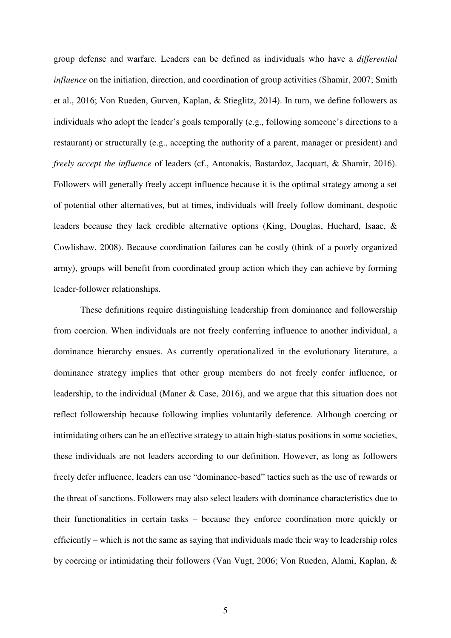group defense and warfare. Leaders can be defined as individuals who have a *differential influence* on the initiation, direction, and coordination of group activities (Shamir, 2007; Smith et al., 2016; Von Rueden, Gurven, Kaplan, & Stieglitz, 2014). In turn, we define followers as individuals who adopt the leader's goals temporally (e.g., following someone's directions to a restaurant) or structurally (e.g., accepting the authority of a parent, manager or president) and *freely accept the influence* of leaders (cf., Antonakis, Bastardoz, Jacquart, & Shamir, 2016). Followers will generally freely accept influence because it is the optimal strategy among a set of potential other alternatives, but at times, individuals will freely follow dominant, despotic leaders because they lack credible alternative options (King, Douglas, Huchard, Isaac, & Cowlishaw, 2008). Because coordination failures can be costly (think of a poorly organized army), groups will benefit from coordinated group action which they can achieve by forming leader-follower relationships.

These definitions require distinguishing leadership from dominance and followership from coercion. When individuals are not freely conferring influence to another individual, a dominance hierarchy ensues. As currently operationalized in the evolutionary literature, a dominance strategy implies that other group members do not freely confer influence, or leadership, to the individual (Maner & Case, 2016), and we argue that this situation does not reflect followership because following implies voluntarily deference. Although coercing or intimidating others can be an effective strategy to attain high-status positions in some societies, these individuals are not leaders according to our definition. However, as long as followers freely defer influence, leaders can use "dominance-based" tactics such as the use of rewards or the threat of sanctions. Followers may also select leaders with dominance characteristics due to their functionalities in certain tasks – because they enforce coordination more quickly or efficiently – which is not the same as saying that individuals made their way to leadership roles by coercing or intimidating their followers (Van Vugt, 2006; Von Rueden, Alami, Kaplan, &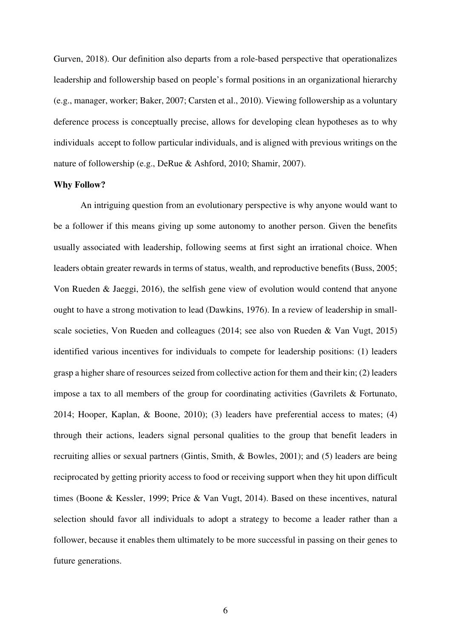Gurven, 2018). Our definition also departs from a role-based perspective that operationalizes leadership and followership based on people's formal positions in an organizational hierarchy (e.g., manager, worker; Baker, 2007; Carsten et al., 2010). Viewing followership as a voluntary deference process is conceptually precise, allows for developing clean hypotheses as to why individuals accept to follow particular individuals, and is aligned with previous writings on the nature of followership (e.g., DeRue & Ashford, 2010; Shamir, 2007).

#### **Why Follow?**

An intriguing question from an evolutionary perspective is why anyone would want to be a follower if this means giving up some autonomy to another person. Given the benefits usually associated with leadership, following seems at first sight an irrational choice. When leaders obtain greater rewards in terms of status, wealth, and reproductive benefits (Buss, 2005; Von Rueden & Jaeggi, 2016), the selfish gene view of evolution would contend that anyone ought to have a strong motivation to lead (Dawkins, 1976). In a review of leadership in smallscale societies, Von Rueden and colleagues (2014; see also von Rueden & Van Vugt, 2015) identified various incentives for individuals to compete for leadership positions: (1) leaders grasp a higher share of resources seized from collective action for them and their kin; (2) leaders impose a tax to all members of the group for coordinating activities (Gavrilets & Fortunato, 2014; Hooper, Kaplan, & Boone, 2010); (3) leaders have preferential access to mates; (4) through their actions, leaders signal personal qualities to the group that benefit leaders in recruiting allies or sexual partners (Gintis, Smith, & Bowles, 2001); and (5) leaders are being reciprocated by getting priority access to food or receiving support when they hit upon difficult times (Boone & Kessler, 1999; Price & Van Vugt, 2014). Based on these incentives, natural selection should favor all individuals to adopt a strategy to become a leader rather than a follower, because it enables them ultimately to be more successful in passing on their genes to future generations.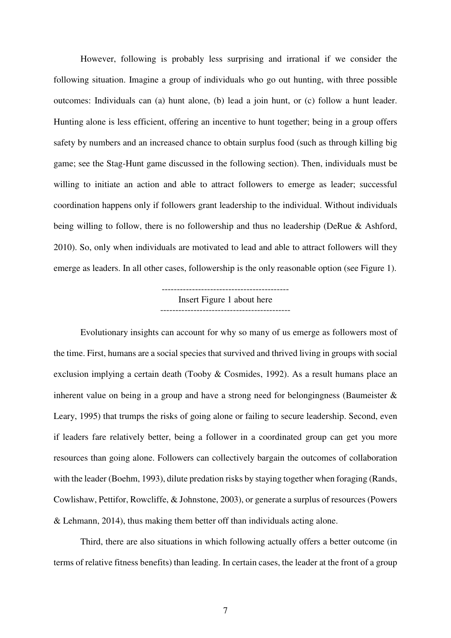However, following is probably less surprising and irrational if we consider the following situation. Imagine a group of individuals who go out hunting, with three possible outcomes: Individuals can (a) hunt alone, (b) lead a join hunt, or (c) follow a hunt leader. Hunting alone is less efficient, offering an incentive to hunt together; being in a group offers safety by numbers and an increased chance to obtain surplus food (such as through killing big game; see the Stag-Hunt game discussed in the following section). Then, individuals must be willing to initiate an action and able to attract followers to emerge as leader; successful coordination happens only if followers grant leadership to the individual. Without individuals being willing to follow, there is no followership and thus no leadership (DeRue & Ashford, 2010). So, only when individuals are motivated to lead and able to attract followers will they emerge as leaders. In all other cases, followership is the only reasonable option (see Figure 1).

> ------------------------------------------ Insert Figure 1 about here -------------------------------------------

Evolutionary insights can account for why so many of us emerge as followers most of the time. First, humans are a social species that survived and thrived living in groups with social exclusion implying a certain death (Tooby & Cosmides, 1992). As a result humans place an inherent value on being in a group and have a strong need for belongingness (Baumeister & Leary, 1995) that trumps the risks of going alone or failing to secure leadership. Second, even if leaders fare relatively better, being a follower in a coordinated group can get you more resources than going alone. Followers can collectively bargain the outcomes of collaboration with the leader (Boehm, 1993), dilute predation risks by staying together when foraging (Rands, Cowlishaw, Pettifor, Rowcliffe, & Johnstone, 2003), or generate a surplus of resources (Powers & Lehmann, 2014), thus making them better off than individuals acting alone.

Third, there are also situations in which following actually offers a better outcome (in terms of relative fitness benefits) than leading. In certain cases, the leader at the front of a group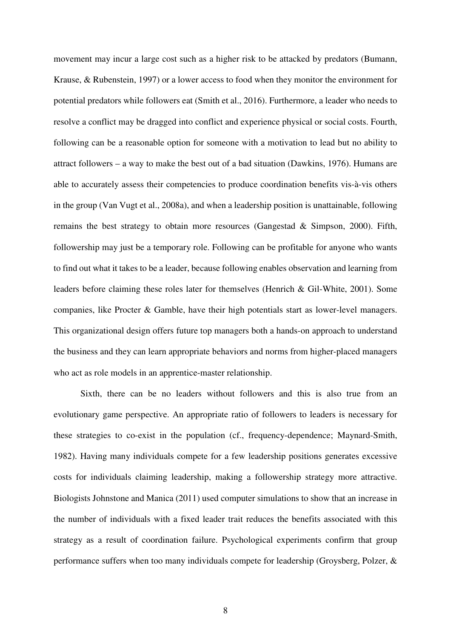movement may incur a large cost such as a higher risk to be attacked by predators (Bumann, Krause, & Rubenstein, 1997) or a lower access to food when they monitor the environment for potential predators while followers eat (Smith et al., 2016). Furthermore, a leader who needs to resolve a conflict may be dragged into conflict and experience physical or social costs. Fourth, following can be a reasonable option for someone with a motivation to lead but no ability to attract followers – a way to make the best out of a bad situation (Dawkins, 1976). Humans are able to accurately assess their competencies to produce coordination benefits vis-à-vis others in the group (Van Vugt et al., 2008a), and when a leadership position is unattainable, following remains the best strategy to obtain more resources (Gangestad & Simpson, 2000). Fifth, followership may just be a temporary role. Following can be profitable for anyone who wants to find out what it takes to be a leader, because following enables observation and learning from leaders before claiming these roles later for themselves (Henrich & Gil-White, 2001). Some companies, like Procter & Gamble, have their high potentials start as lower-level managers. This organizational design offers future top managers both a hands-on approach to understand the business and they can learn appropriate behaviors and norms from higher-placed managers who act as role models in an apprentice-master relationship.

Sixth, there can be no leaders without followers and this is also true from an evolutionary game perspective. An appropriate ratio of followers to leaders is necessary for these strategies to co-exist in the population (cf., frequency-dependence; Maynard-Smith, 1982). Having many individuals compete for a few leadership positions generates excessive costs for individuals claiming leadership, making a followership strategy more attractive. Biologists Johnstone and Manica (2011) used computer simulations to show that an increase in the number of individuals with a fixed leader trait reduces the benefits associated with this strategy as a result of coordination failure. Psychological experiments confirm that group performance suffers when too many individuals compete for leadership (Groysberg, Polzer, &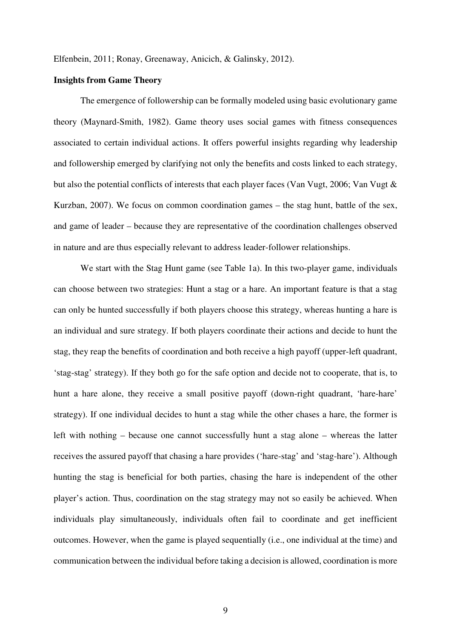Elfenbein, 2011; Ronay, Greenaway, Anicich, & Galinsky, 2012).

# **Insights from Game Theory**

The emergence of followership can be formally modeled using basic evolutionary game theory (Maynard-Smith, 1982). Game theory uses social games with fitness consequences associated to certain individual actions. It offers powerful insights regarding why leadership and followership emerged by clarifying not only the benefits and costs linked to each strategy, but also the potential conflicts of interests that each player faces (Van Vugt, 2006; Van Vugt & Kurzban, 2007). We focus on common coordination games – the stag hunt, battle of the sex, and game of leader – because they are representative of the coordination challenges observed in nature and are thus especially relevant to address leader-follower relationships.

We start with the Stag Hunt game (see Table 1a). In this two-player game, individuals can choose between two strategies: Hunt a stag or a hare. An important feature is that a stag can only be hunted successfully if both players choose this strategy, whereas hunting a hare is an individual and sure strategy. If both players coordinate their actions and decide to hunt the stag, they reap the benefits of coordination and both receive a high payoff (upper-left quadrant, 'stag-stag' strategy). If they both go for the safe option and decide not to cooperate, that is, to hunt a hare alone, they receive a small positive payoff (down-right quadrant, 'hare-hare' strategy). If one individual decides to hunt a stag while the other chases a hare, the former is left with nothing – because one cannot successfully hunt a stag alone – whereas the latter receives the assured payoff that chasing a hare provides ('hare-stag' and 'stag-hare'). Although hunting the stag is beneficial for both parties, chasing the hare is independent of the other player's action. Thus, coordination on the stag strategy may not so easily be achieved. When individuals play simultaneously, individuals often fail to coordinate and get inefficient outcomes. However, when the game is played sequentially (i.e., one individual at the time) and communication between the individual before taking a decision is allowed, coordination is more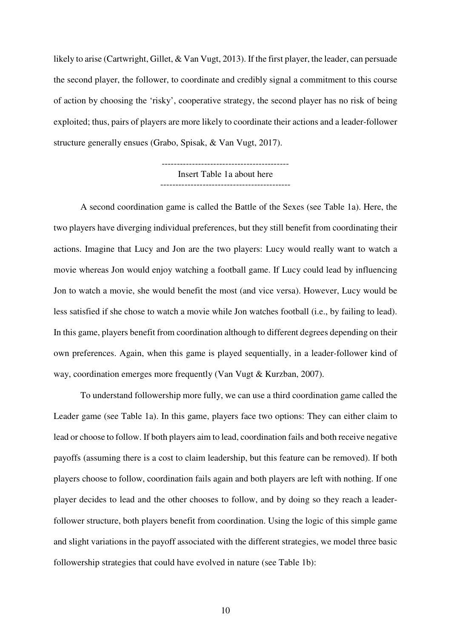likely to arise (Cartwright, Gillet, & Van Vugt, 2013). If the first player, the leader, can persuade the second player, the follower, to coordinate and credibly signal a commitment to this course of action by choosing the 'risky', cooperative strategy, the second player has no risk of being exploited; thus, pairs of players are more likely to coordinate their actions and a leader-follower structure generally ensues (Grabo, Spisak, & Van Vugt, 2017).

> ------------------------------------------ Insert Table 1a about here -------------------------------------------

A second coordination game is called the Battle of the Sexes (see Table 1a). Here, the two players have diverging individual preferences, but they still benefit from coordinating their actions. Imagine that Lucy and Jon are the two players: Lucy would really want to watch a movie whereas Jon would enjoy watching a football game. If Lucy could lead by influencing Jon to watch a movie, she would benefit the most (and vice versa). However, Lucy would be less satisfied if she chose to watch a movie while Jon watches football (i.e., by failing to lead). In this game, players benefit from coordination although to different degrees depending on their own preferences. Again, when this game is played sequentially, in a leader-follower kind of way, coordination emerges more frequently (Van Vugt & Kurzban, 2007).

To understand followership more fully, we can use a third coordination game called the Leader game (see Table 1a). In this game, players face two options: They can either claim to lead or choose to follow. If both players aim to lead, coordination fails and both receive negative payoffs (assuming there is a cost to claim leadership, but this feature can be removed). If both players choose to follow, coordination fails again and both players are left with nothing. If one player decides to lead and the other chooses to follow, and by doing so they reach a leaderfollower structure, both players benefit from coordination. Using the logic of this simple game and slight variations in the payoff associated with the different strategies, we model three basic followership strategies that could have evolved in nature (see Table 1b):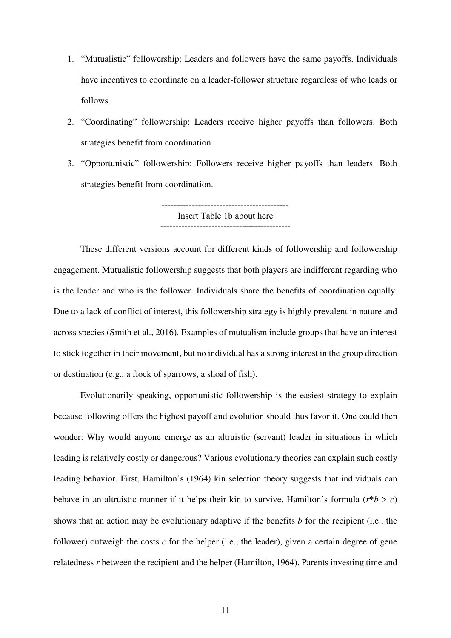- 1. "Mutualistic" followership: Leaders and followers have the same payoffs. Individuals have incentives to coordinate on a leader-follower structure regardless of who leads or follows.
- 2. "Coordinating" followership: Leaders receive higher payoffs than followers. Both strategies benefit from coordination.
- 3. "Opportunistic" followership: Followers receive higher payoffs than leaders. Both strategies benefit from coordination.

------------------------------------------ Insert Table 1b about here -------------------------------------------

These different versions account for different kinds of followership and followership engagement. Mutualistic followership suggests that both players are indifferent regarding who is the leader and who is the follower. Individuals share the benefits of coordination equally. Due to a lack of conflict of interest, this followership strategy is highly prevalent in nature and across species (Smith et al., 2016). Examples of mutualism include groups that have an interest to stick together in their movement, but no individual has a strong interest in the group direction or destination (e.g., a flock of sparrows, a shoal of fish).

Evolutionarily speaking, opportunistic followership is the easiest strategy to explain because following offers the highest payoff and evolution should thus favor it. One could then wonder: Why would anyone emerge as an altruistic (servant) leader in situations in which leading is relatively costly or dangerous? Various evolutionary theories can explain such costly leading behavior. First, Hamilton's (1964) kin selection theory suggests that individuals can behave in an altruistic manner if it helps their kin to survive. Hamilton's formula  $(r * b > c)$ shows that an action may be evolutionary adaptive if the benefits *b* for the recipient (i.e., the follower) outweigh the costs  $c$  for the helper (i.e., the leader), given a certain degree of gene relatedness *r* between the recipient and the helper (Hamilton, 1964). Parents investing time and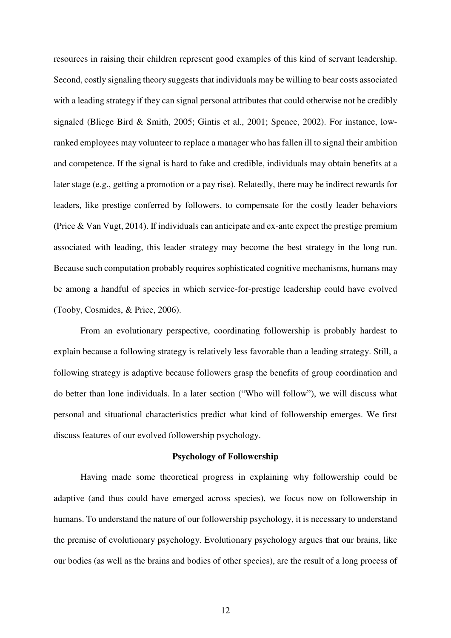resources in raising their children represent good examples of this kind of servant leadership. Second, costly signaling theory suggests that individuals may be willing to bear costs associated with a leading strategy if they can signal personal attributes that could otherwise not be credibly signaled (Bliege Bird & Smith, 2005; Gintis et al., 2001; Spence, 2002). For instance, lowranked employees may volunteer to replace a manager who has fallen ill to signal their ambition and competence. If the signal is hard to fake and credible, individuals may obtain benefits at a later stage (e.g., getting a promotion or a pay rise). Relatedly, there may be indirect rewards for leaders, like prestige conferred by followers, to compensate for the costly leader behaviors (Price & Van Vugt, 2014). If individuals can anticipate and ex-ante expect the prestige premium associated with leading, this leader strategy may become the best strategy in the long run. Because such computation probably requires sophisticated cognitive mechanisms, humans may be among a handful of species in which service-for-prestige leadership could have evolved (Tooby, Cosmides, & Price, 2006).

From an evolutionary perspective, coordinating followership is probably hardest to explain because a following strategy is relatively less favorable than a leading strategy. Still, a following strategy is adaptive because followers grasp the benefits of group coordination and do better than lone individuals. In a later section ("Who will follow"), we will discuss what personal and situational characteristics predict what kind of followership emerges. We first discuss features of our evolved followership psychology.

#### **Psychology of Followership**

Having made some theoretical progress in explaining why followership could be adaptive (and thus could have emerged across species), we focus now on followership in humans. To understand the nature of our followership psychology, it is necessary to understand the premise of evolutionary psychology. Evolutionary psychology argues that our brains, like our bodies (as well as the brains and bodies of other species), are the result of a long process of

12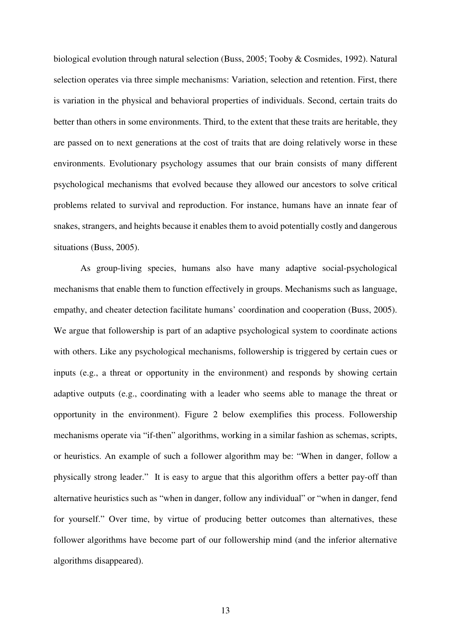biological evolution through natural selection (Buss, 2005; Tooby & Cosmides, 1992). Natural selection operates via three simple mechanisms: Variation, selection and retention. First, there is variation in the physical and behavioral properties of individuals. Second, certain traits do better than others in some environments. Third, to the extent that these traits are heritable, they are passed on to next generations at the cost of traits that are doing relatively worse in these environments. Evolutionary psychology assumes that our brain consists of many different psychological mechanisms that evolved because they allowed our ancestors to solve critical problems related to survival and reproduction. For instance, humans have an innate fear of snakes, strangers, and heights because it enables them to avoid potentially costly and dangerous situations (Buss, 2005).

As group-living species, humans also have many adaptive social-psychological mechanisms that enable them to function effectively in groups. Mechanisms such as language, empathy, and cheater detection facilitate humans' coordination and cooperation (Buss, 2005). We argue that followership is part of an adaptive psychological system to coordinate actions with others. Like any psychological mechanisms, followership is triggered by certain cues or inputs (e.g., a threat or opportunity in the environment) and responds by showing certain adaptive outputs (e.g., coordinating with a leader who seems able to manage the threat or opportunity in the environment). Figure 2 below exemplifies this process. Followership mechanisms operate via "if-then" algorithms, working in a similar fashion as schemas, scripts, or heuristics. An example of such a follower algorithm may be: "When in danger, follow a physically strong leader." It is easy to argue that this algorithm offers a better pay-off than alternative heuristics such as "when in danger, follow any individual" or "when in danger, fend for yourself." Over time, by virtue of producing better outcomes than alternatives, these follower algorithms have become part of our followership mind (and the inferior alternative algorithms disappeared).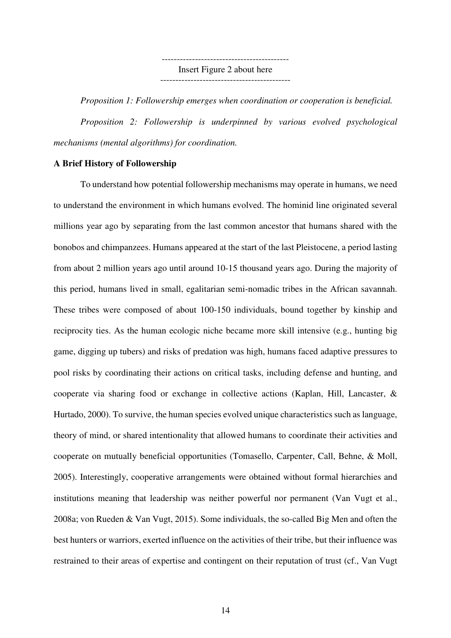------------------------------------------ Insert Figure 2 about here -------------------------------------------

*Proposition 1: Followership emerges when coordination or cooperation is beneficial. Proposition 2: Followership is underpinned by various evolved psychological mechanisms (mental algorithms) for coordination.*

#### **A Brief History of Followership**

To understand how potential followership mechanisms may operate in humans, we need to understand the environment in which humans evolved. The hominid line originated several millions year ago by separating from the last common ancestor that humans shared with the bonobos and chimpanzees. Humans appeared at the start of the last Pleistocene, a period lasting from about 2 million years ago until around 10-15 thousand years ago. During the majority of this period, humans lived in small, egalitarian semi-nomadic tribes in the African savannah. These tribes were composed of about 100-150 individuals, bound together by kinship and reciprocity ties. As the human ecologic niche became more skill intensive (e.g., hunting big game, digging up tubers) and risks of predation was high, humans faced adaptive pressures to pool risks by coordinating their actions on critical tasks, including defense and hunting, and cooperate via sharing food or exchange in collective actions (Kaplan, Hill, Lancaster, & Hurtado, 2000). To survive, the human species evolved unique characteristics such as language, theory of mind, or shared intentionality that allowed humans to coordinate their activities and cooperate on mutually beneficial opportunities (Tomasello, Carpenter, Call, Behne, & Moll, 2005). Interestingly, cooperative arrangements were obtained without formal hierarchies and institutions meaning that leadership was neither powerful nor permanent (Van Vugt et al., 2008a; von Rueden & Van Vugt, 2015). Some individuals, the so-called Big Men and often the best hunters or warriors, exerted influence on the activities of their tribe, but their influence was restrained to their areas of expertise and contingent on their reputation of trust (cf., Van Vugt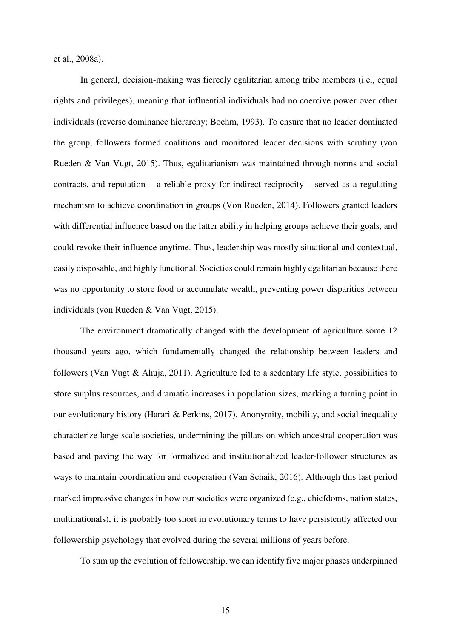et al., 2008a).

In general, decision-making was fiercely egalitarian among tribe members (i.e., equal rights and privileges), meaning that influential individuals had no coercive power over other individuals (reverse dominance hierarchy; Boehm, 1993). To ensure that no leader dominated the group, followers formed coalitions and monitored leader decisions with scrutiny (von Rueden & Van Vugt, 2015). Thus, egalitarianism was maintained through norms and social contracts, and reputation – a reliable proxy for indirect reciprocity – served as a regulating mechanism to achieve coordination in groups (Von Rueden, 2014). Followers granted leaders with differential influence based on the latter ability in helping groups achieve their goals, and could revoke their influence anytime. Thus, leadership was mostly situational and contextual, easily disposable, and highly functional. Societies could remain highly egalitarian because there was no opportunity to store food or accumulate wealth, preventing power disparities between individuals (von Rueden & Van Vugt, 2015).

The environment dramatically changed with the development of agriculture some 12 thousand years ago, which fundamentally changed the relationship between leaders and followers (Van Vugt & Ahuja, 2011). Agriculture led to a sedentary life style, possibilities to store surplus resources, and dramatic increases in population sizes, marking a turning point in our evolutionary history (Harari & Perkins, 2017). Anonymity, mobility, and social inequality characterize large-scale societies, undermining the pillars on which ancestral cooperation was based and paving the way for formalized and institutionalized leader-follower structures as ways to maintain coordination and cooperation (Van Schaik, 2016). Although this last period marked impressive changes in how our societies were organized (e.g., chiefdoms, nation states, multinationals), it is probably too short in evolutionary terms to have persistently affected our followership psychology that evolved during the several millions of years before.

To sum up the evolution of followership, we can identify five major phases underpinned

15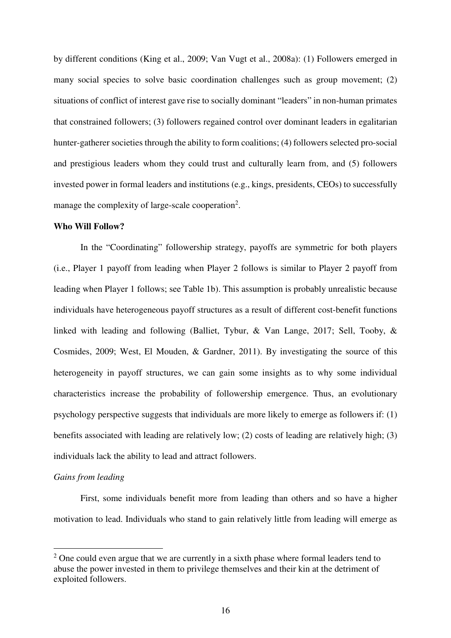by different conditions (King et al., 2009; Van Vugt et al., 2008a): (1) Followers emerged in many social species to solve basic coordination challenges such as group movement; (2) situations of conflict of interest gave rise to socially dominant "leaders" in non-human primates that constrained followers; (3) followers regained control over dominant leaders in egalitarian hunter-gatherer societies through the ability to form coalitions; (4) followers selected pro-social and prestigious leaders whom they could trust and culturally learn from, and (5) followers invested power in formal leaders and institutions (e.g., kings, presidents, CEOs) to successfully manage the complexity of large-scale cooperation<sup>2</sup>.

# **Who Will Follow?**

In the "Coordinating" followership strategy, payoffs are symmetric for both players (i.e., Player 1 payoff from leading when Player 2 follows is similar to Player 2 payoff from leading when Player 1 follows; see Table 1b). This assumption is probably unrealistic because individuals have heterogeneous payoff structures as a result of different cost-benefit functions linked with leading and following (Balliet, Tybur, & Van Lange, 2017; Sell, Tooby, & Cosmides, 2009; West, El Mouden, & Gardner, 2011). By investigating the source of this heterogeneity in payoff structures, we can gain some insights as to why some individual characteristics increase the probability of followership emergence. Thus, an evolutionary psychology perspective suggests that individuals are more likely to emerge as followers if: (1) benefits associated with leading are relatively low; (2) costs of leading are relatively high; (3) individuals lack the ability to lead and attract followers.

# *Gains from leading*

 $\overline{a}$ 

First, some individuals benefit more from leading than others and so have a higher motivation to lead. Individuals who stand to gain relatively little from leading will emerge as

 $2$  One could even argue that we are currently in a sixth phase where formal leaders tend to abuse the power invested in them to privilege themselves and their kin at the detriment of exploited followers.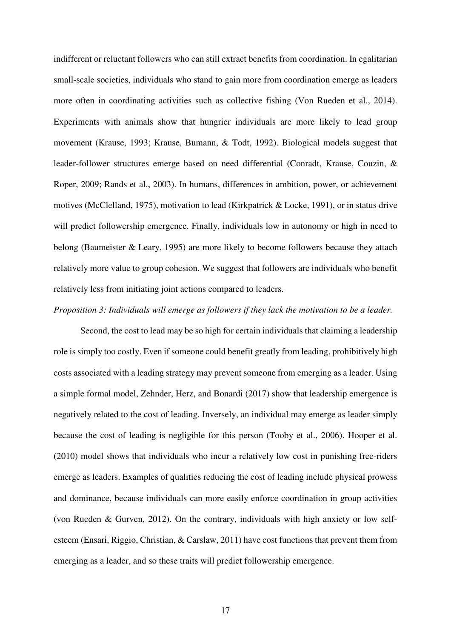indifferent or reluctant followers who can still extract benefits from coordination. In egalitarian small-scale societies, individuals who stand to gain more from coordination emerge as leaders more often in coordinating activities such as collective fishing (Von Rueden et al., 2014). Experiments with animals show that hungrier individuals are more likely to lead group movement (Krause, 1993; Krause, Bumann, & Todt, 1992). Biological models suggest that leader-follower structures emerge based on need differential (Conradt, Krause, Couzin, & Roper, 2009; Rands et al., 2003). In humans, differences in ambition, power, or achievement motives (McClelland, 1975), motivation to lead (Kirkpatrick & Locke, 1991), or in status drive will predict followership emergence. Finally, individuals low in autonomy or high in need to belong (Baumeister & Leary, 1995) are more likely to become followers because they attach relatively more value to group cohesion. We suggest that followers are individuals who benefit relatively less from initiating joint actions compared to leaders.

## *Proposition 3: Individuals will emerge as followers if they lack the motivation to be a leader.*

Second, the cost to lead may be so high for certain individuals that claiming a leadership role is simply too costly. Even if someone could benefit greatly from leading, prohibitively high costs associated with a leading strategy may prevent someone from emerging as a leader. Using a simple formal model, Zehnder, Herz, and Bonardi (2017) show that leadership emergence is negatively related to the cost of leading. Inversely, an individual may emerge as leader simply because the cost of leading is negligible for this person (Tooby et al., 2006). Hooper et al. (2010) model shows that individuals who incur a relatively low cost in punishing free-riders emerge as leaders. Examples of qualities reducing the cost of leading include physical prowess and dominance, because individuals can more easily enforce coordination in group activities (von Rueden & Gurven, 2012). On the contrary, individuals with high anxiety or low selfesteem (Ensari, Riggio, Christian, & Carslaw, 2011) have cost functions that prevent them from emerging as a leader, and so these traits will predict followership emergence.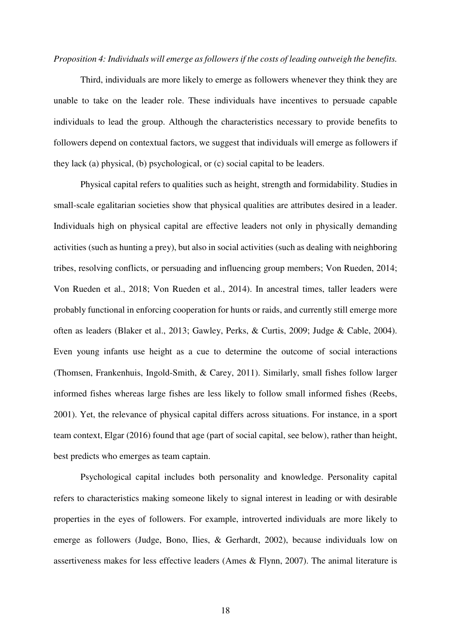### *Proposition 4: Individuals will emerge as followers if the costs of leading outweigh the benefits.*

Third, individuals are more likely to emerge as followers whenever they think they are unable to take on the leader role. These individuals have incentives to persuade capable individuals to lead the group. Although the characteristics necessary to provide benefits to followers depend on contextual factors, we suggest that individuals will emerge as followers if they lack (a) physical, (b) psychological, or (c) social capital to be leaders.

Physical capital refers to qualities such as height, strength and formidability. Studies in small-scale egalitarian societies show that physical qualities are attributes desired in a leader. Individuals high on physical capital are effective leaders not only in physically demanding activities (such as hunting a prey), but also in social activities (such as dealing with neighboring tribes, resolving conflicts, or persuading and influencing group members; Von Rueden, 2014; Von Rueden et al., 2018; Von Rueden et al., 2014). In ancestral times, taller leaders were probably functional in enforcing cooperation for hunts or raids, and currently still emerge more often as leaders (Blaker et al., 2013; Gawley, Perks, & Curtis, 2009; Judge & Cable, 2004). Even young infants use height as a cue to determine the outcome of social interactions (Thomsen, Frankenhuis, Ingold-Smith, & Carey, 2011). Similarly, small fishes follow larger informed fishes whereas large fishes are less likely to follow small informed fishes (Reebs, 2001). Yet, the relevance of physical capital differs across situations. For instance, in a sport team context, Elgar (2016) found that age (part of social capital, see below), rather than height, best predicts who emerges as team captain.

Psychological capital includes both personality and knowledge. Personality capital refers to characteristics making someone likely to signal interest in leading or with desirable properties in the eyes of followers. For example, introverted individuals are more likely to emerge as followers (Judge, Bono, Ilies, & Gerhardt, 2002), because individuals low on assertiveness makes for less effective leaders (Ames & Flynn, 2007). The animal literature is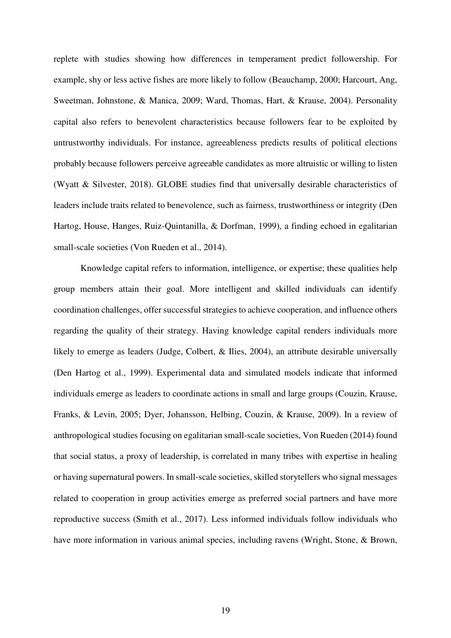replete with studies showing how differences in temperament predict followership. For example, shy or less active fishes are more likely to follow (Beauchamp, 2000; Harcourt, Ang, Sweetman, Johnstone, & Manica, 2009; Ward, Thomas, Hart, & Krause, 2004). Personality capital also refers to benevolent characteristics because followers fear to be exploited by untrustworthy individuals. For instance, agreeableness predicts results of political elections probably because followers perceive agreeable candidates as more altruistic or willing to listen (Wyatt & Silvester, 2018). GLOBE studies find that universally desirable characteristics of leaders include traits related to benevolence, such as fairness, trustworthiness or integrity (Den Hartog, House, Hanges, Ruiz-Quintanilla, & Dorfman, 1999), a finding echoed in egalitarian small-scale societies (Von Rueden et al., 2014).

Knowledge capital refers to information, intelligence, or expertise; these qualities help group members attain their goal. More intelligent and skilled individuals can identify coordination challenges, offer successful strategies to achieve cooperation, and influence others regarding the quality of their strategy. Having knowledge capital renders individuals more likely to emerge as leaders (Judge, Colbert, & Ilies, 2004), an attribute desirable universally (Den Hartog et al., 1999). Experimental data and simulated models indicate that informed individuals emerge as leaders to coordinate actions in small and large groups (Couzin, Krause, Franks, & Levin, 2005; Dyer, Johansson, Helbing, Couzin, & Krause, 2009). In a review of anthropological studies focusing on egalitarian small-scale societies, Von Rueden (2014) found that social status, a proxy of leadership, is correlated in many tribes with expertise in healing or having supernatural powers. In small-scale societies, skilled storytellers who signal messages related to cooperation in group activities emerge as preferred social partners and have more reproductive success (Smith et al., 2017). Less informed individuals follow individuals who have more information in various animal species, including ravens (Wright, Stone, & Brown,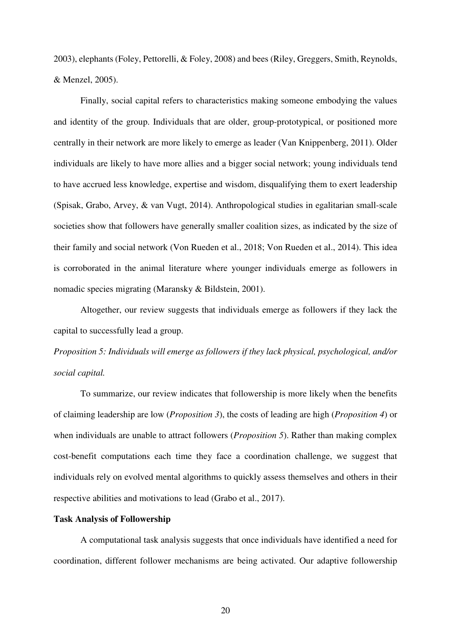2003), elephants (Foley, Pettorelli, & Foley, 2008) and bees (Riley, Greggers, Smith, Reynolds, & Menzel, 2005).

Finally, social capital refers to characteristics making someone embodying the values and identity of the group. Individuals that are older, group-prototypical, or positioned more centrally in their network are more likely to emerge as leader (Van Knippenberg, 2011). Older individuals are likely to have more allies and a bigger social network; young individuals tend to have accrued less knowledge, expertise and wisdom, disqualifying them to exert leadership (Spisak, Grabo, Arvey, & van Vugt, 2014). Anthropological studies in egalitarian small-scale societies show that followers have generally smaller coalition sizes, as indicated by the size of their family and social network (Von Rueden et al., 2018; Von Rueden et al., 2014). This idea is corroborated in the animal literature where younger individuals emerge as followers in nomadic species migrating (Maransky & Bildstein, 2001).

Altogether, our review suggests that individuals emerge as followers if they lack the capital to successfully lead a group.

*Proposition 5: Individuals will emerge as followers if they lack physical, psychological, and/or social capital.* 

To summarize, our review indicates that followership is more likely when the benefits of claiming leadership are low (*Proposition 3*), the costs of leading are high (*Proposition 4*) or when individuals are unable to attract followers (*Proposition 5*). Rather than making complex cost-benefit computations each time they face a coordination challenge, we suggest that individuals rely on evolved mental algorithms to quickly assess themselves and others in their respective abilities and motivations to lead (Grabo et al., 2017).

## **Task Analysis of Followership**

A computational task analysis suggests that once individuals have identified a need for coordination, different follower mechanisms are being activated. Our adaptive followership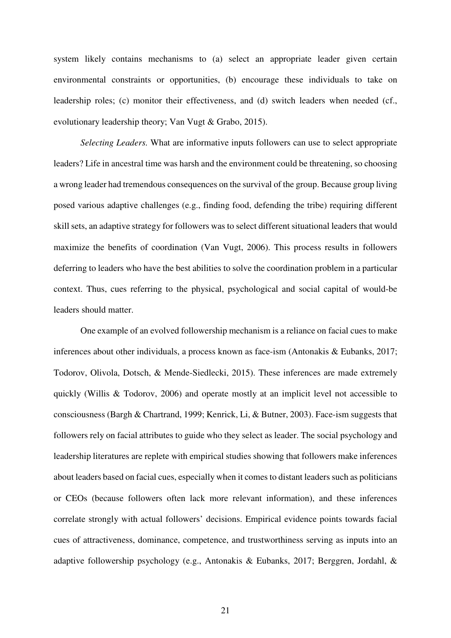system likely contains mechanisms to (a) select an appropriate leader given certain environmental constraints or opportunities, (b) encourage these individuals to take on leadership roles; (c) monitor their effectiveness, and (d) switch leaders when needed (cf., evolutionary leadership theory; Van Vugt & Grabo, 2015).

*Selecting Leaders.* What are informative inputs followers can use to select appropriate leaders? Life in ancestral time was harsh and the environment could be threatening, so choosing a wrong leader had tremendous consequences on the survival of the group. Because group living posed various adaptive challenges (e.g., finding food, defending the tribe) requiring different skill sets, an adaptive strategy for followers was to select different situational leaders that would maximize the benefits of coordination (Van Vugt, 2006). This process results in followers deferring to leaders who have the best abilities to solve the coordination problem in a particular context. Thus, cues referring to the physical, psychological and social capital of would-be leaders should matter.

One example of an evolved followership mechanism is a reliance on facial cues to make inferences about other individuals, a process known as face-ism (Antonakis & Eubanks, 2017; Todorov, Olivola, Dotsch, & Mende-Siedlecki, 2015). These inferences are made extremely quickly (Willis & Todorov, 2006) and operate mostly at an implicit level not accessible to consciousness (Bargh & Chartrand, 1999; Kenrick, Li, & Butner, 2003). Face-ism suggests that followers rely on facial attributes to guide who they select as leader. The social psychology and leadership literatures are replete with empirical studies showing that followers make inferences about leaders based on facial cues, especially when it comes to distant leaders such as politicians or CEOs (because followers often lack more relevant information), and these inferences correlate strongly with actual followers' decisions. Empirical evidence points towards facial cues of attractiveness, dominance, competence, and trustworthiness serving as inputs into an adaptive followership psychology (e.g., Antonakis & Eubanks, 2017; Berggren, Jordahl, &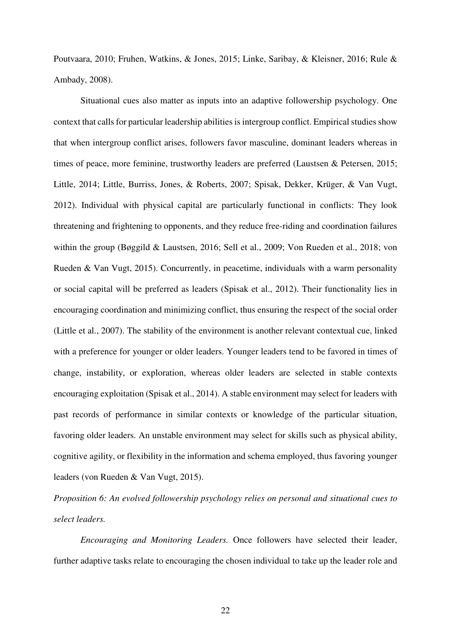Poutvaara, 2010; Fruhen, Watkins, & Jones, 2015; Linke, Saribay, & Kleisner, 2016; Rule & Ambady, 2008).

Situational cues also matter as inputs into an adaptive followership psychology. One context that calls for particular leadership abilities is intergroup conflict. Empirical studies show that when intergroup conflict arises, followers favor masculine, dominant leaders whereas in times of peace, more feminine, trustworthy leaders are preferred (Laustsen & Petersen, 2015; Little, 2014; Little, Burriss, Jones, & Roberts, 2007; Spisak, Dekker, Krüger, & Van Vugt, 2012). Individual with physical capital are particularly functional in conflicts: They look threatening and frightening to opponents, and they reduce free-riding and coordination failures within the group (Bøggild & Laustsen, 2016; Sell et al., 2009; Von Rueden et al., 2018; von Rueden & Van Vugt, 2015). Concurrently, in peacetime, individuals with a warm personality or social capital will be preferred as leaders (Spisak et al., 2012). Their functionality lies in encouraging coordination and minimizing conflict, thus ensuring the respect of the social order (Little et al., 2007). The stability of the environment is another relevant contextual cue, linked with a preference for younger or older leaders. Younger leaders tend to be favored in times of change, instability, or exploration, whereas older leaders are selected in stable contexts encouraging exploitation (Spisak et al., 2014). A stable environment may select for leaders with past records of performance in similar contexts or knowledge of the particular situation, favoring older leaders. An unstable environment may select for skills such as physical ability, cognitive agility, or flexibility in the information and schema employed, thus favoring younger leaders (von Rueden & Van Vugt, 2015).

*Proposition 6: An evolved followership psychology relies on personal and situational cues to select leaders.* 

*Encouraging and Monitoring Leaders.* Once followers have selected their leader, further adaptive tasks relate to encouraging the chosen individual to take up the leader role and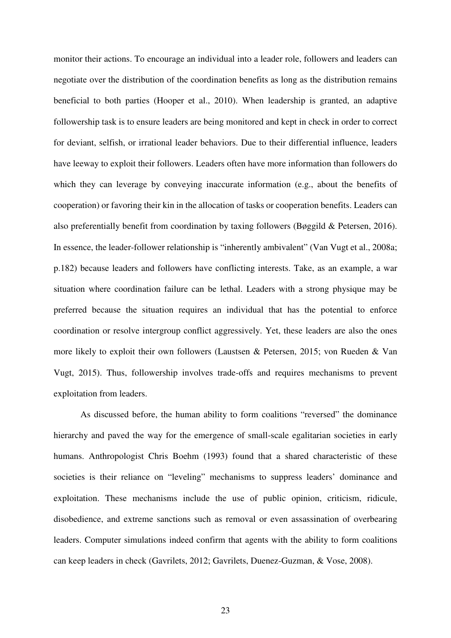monitor their actions. To encourage an individual into a leader role, followers and leaders can negotiate over the distribution of the coordination benefits as long as the distribution remains beneficial to both parties (Hooper et al., 2010). When leadership is granted, an adaptive followership task is to ensure leaders are being monitored and kept in check in order to correct for deviant, selfish, or irrational leader behaviors. Due to their differential influence, leaders have leeway to exploit their followers. Leaders often have more information than followers do which they can leverage by conveying inaccurate information (e.g., about the benefits of cooperation) or favoring their kin in the allocation of tasks or cooperation benefits. Leaders can also preferentially benefit from coordination by taxing followers (Bøggild & Petersen, 2016). In essence, the leader-follower relationship is "inherently ambivalent" (Van Vugt et al., 2008a; p.182) because leaders and followers have conflicting interests. Take, as an example, a war situation where coordination failure can be lethal. Leaders with a strong physique may be preferred because the situation requires an individual that has the potential to enforce coordination or resolve intergroup conflict aggressively. Yet, these leaders are also the ones more likely to exploit their own followers (Laustsen & Petersen, 2015; von Rueden & Van Vugt, 2015). Thus, followership involves trade-offs and requires mechanisms to prevent exploitation from leaders.

As discussed before, the human ability to form coalitions "reversed" the dominance hierarchy and paved the way for the emergence of small-scale egalitarian societies in early humans. Anthropologist Chris Boehm (1993) found that a shared characteristic of these societies is their reliance on "leveling" mechanisms to suppress leaders' dominance and exploitation. These mechanisms include the use of public opinion, criticism, ridicule, disobedience, and extreme sanctions such as removal or even assassination of overbearing leaders. Computer simulations indeed confirm that agents with the ability to form coalitions can keep leaders in check (Gavrilets, 2012; Gavrilets, Duenez-Guzman, & Vose, 2008).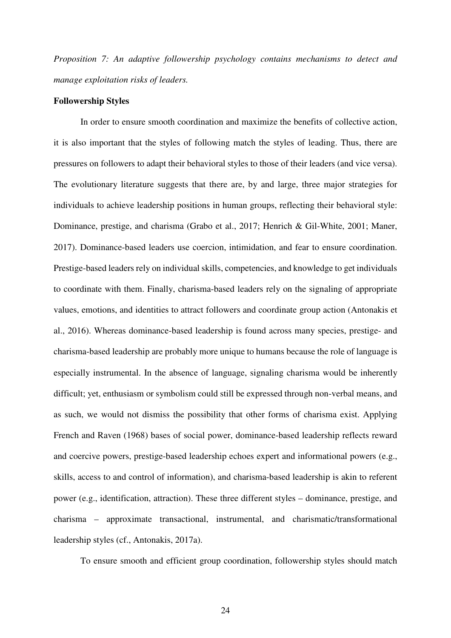*Proposition 7: An adaptive followership psychology contains mechanisms to detect and manage exploitation risks of leaders.*

#### **Followership Styles**

In order to ensure smooth coordination and maximize the benefits of collective action, it is also important that the styles of following match the styles of leading. Thus, there are pressures on followers to adapt their behavioral styles to those of their leaders (and vice versa). The evolutionary literature suggests that there are, by and large, three major strategies for individuals to achieve leadership positions in human groups, reflecting their behavioral style: Dominance, prestige, and charisma (Grabo et al., 2017; Henrich & Gil-White, 2001; Maner, 2017). Dominance-based leaders use coercion, intimidation, and fear to ensure coordination. Prestige-based leaders rely on individual skills, competencies, and knowledge to get individuals to coordinate with them. Finally, charisma-based leaders rely on the signaling of appropriate values, emotions, and identities to attract followers and coordinate group action (Antonakis et al., 2016). Whereas dominance-based leadership is found across many species, prestige- and charisma-based leadership are probably more unique to humans because the role of language is especially instrumental. In the absence of language, signaling charisma would be inherently difficult; yet, enthusiasm or symbolism could still be expressed through non-verbal means, and as such, we would not dismiss the possibility that other forms of charisma exist. Applying French and Raven (1968) bases of social power, dominance-based leadership reflects reward and coercive powers, prestige-based leadership echoes expert and informational powers (e.g., skills, access to and control of information), and charisma-based leadership is akin to referent power (e.g., identification, attraction). These three different styles – dominance, prestige, and charisma – approximate transactional, instrumental, and charismatic/transformational leadership styles (cf., Antonakis, 2017a).

To ensure smooth and efficient group coordination, followership styles should match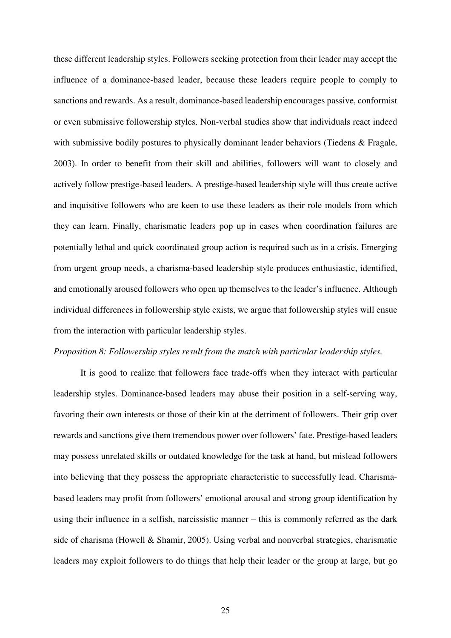these different leadership styles. Followers seeking protection from their leader may accept the influence of a dominance-based leader, because these leaders require people to comply to sanctions and rewards. As a result, dominance-based leadership encourages passive, conformist or even submissive followership styles. Non-verbal studies show that individuals react indeed with submissive bodily postures to physically dominant leader behaviors (Tiedens & Fragale, 2003). In order to benefit from their skill and abilities, followers will want to closely and actively follow prestige-based leaders. A prestige-based leadership style will thus create active and inquisitive followers who are keen to use these leaders as their role models from which they can learn. Finally, charismatic leaders pop up in cases when coordination failures are potentially lethal and quick coordinated group action is required such as in a crisis. Emerging from urgent group needs, a charisma-based leadership style produces enthusiastic, identified, and emotionally aroused followers who open up themselves to the leader's influence. Although individual differences in followership style exists, we argue that followership styles will ensue from the interaction with particular leadership styles.

## *Proposition 8: Followership styles result from the match with particular leadership styles.*

It is good to realize that followers face trade-offs when they interact with particular leadership styles. Dominance-based leaders may abuse their position in a self-serving way, favoring their own interests or those of their kin at the detriment of followers. Their grip over rewards and sanctions give them tremendous power over followers' fate. Prestige-based leaders may possess unrelated skills or outdated knowledge for the task at hand, but mislead followers into believing that they possess the appropriate characteristic to successfully lead. Charismabased leaders may profit from followers' emotional arousal and strong group identification by using their influence in a selfish, narcissistic manner – this is commonly referred as the dark side of charisma (Howell & Shamir, 2005). Using verbal and nonverbal strategies, charismatic leaders may exploit followers to do things that help their leader or the group at large, but go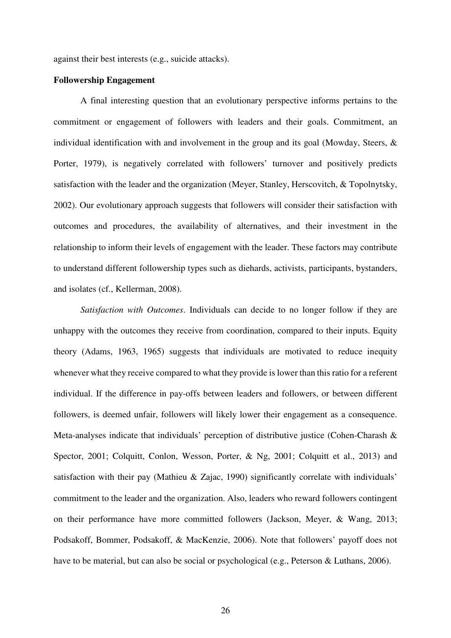against their best interests (e.g., suicide attacks).

# **Followership Engagement**

A final interesting question that an evolutionary perspective informs pertains to the commitment or engagement of followers with leaders and their goals. Commitment, an individual identification with and involvement in the group and its goal (Mowday, Steers, & Porter, 1979), is negatively correlated with followers' turnover and positively predicts satisfaction with the leader and the organization (Meyer, Stanley, Herscovitch, & Topolnytsky, 2002). Our evolutionary approach suggests that followers will consider their satisfaction with outcomes and procedures, the availability of alternatives, and their investment in the relationship to inform their levels of engagement with the leader. These factors may contribute to understand different followership types such as diehards, activists, participants, bystanders, and isolates (cf., Kellerman, 2008).

*Satisfaction with Outcomes*. Individuals can decide to no longer follow if they are unhappy with the outcomes they receive from coordination, compared to their inputs. Equity theory (Adams, 1963, 1965) suggests that individuals are motivated to reduce inequity whenever what they receive compared to what they provide is lower than this ratio for a referent individual. If the difference in pay-offs between leaders and followers, or between different followers, is deemed unfair, followers will likely lower their engagement as a consequence. Meta-analyses indicate that individuals' perception of distributive justice (Cohen-Charash & Spector, 2001; Colquitt, Conlon, Wesson, Porter, & Ng, 2001; Colquitt et al., 2013) and satisfaction with their pay (Mathieu & Zajac, 1990) significantly correlate with individuals' commitment to the leader and the organization. Also, leaders who reward followers contingent on their performance have more committed followers (Jackson, Meyer, & Wang, 2013; Podsakoff, Bommer, Podsakoff, & MacKenzie, 2006). Note that followers' payoff does not have to be material, but can also be social or psychological (e.g., Peterson & Luthans, 2006).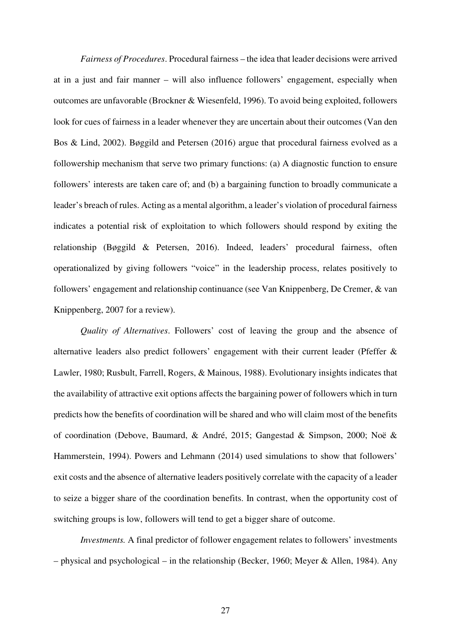*Fairness of Procedures*. Procedural fairness – the idea that leader decisions were arrived at in a just and fair manner – will also influence followers' engagement, especially when outcomes are unfavorable (Brockner & Wiesenfeld, 1996). To avoid being exploited, followers look for cues of fairness in a leader whenever they are uncertain about their outcomes (Van den Bos & Lind, 2002). Bøggild and Petersen (2016) argue that procedural fairness evolved as a followership mechanism that serve two primary functions: (a) A diagnostic function to ensure followers' interests are taken care of; and (b) a bargaining function to broadly communicate a leader's breach of rules. Acting as a mental algorithm, a leader's violation of procedural fairness indicates a potential risk of exploitation to which followers should respond by exiting the relationship (Bøggild & Petersen, 2016). Indeed, leaders' procedural fairness, often operationalized by giving followers "voice" in the leadership process, relates positively to followers' engagement and relationship continuance (see Van Knippenberg, De Cremer, & van Knippenberg, 2007 for a review).

*Quality of Alternatives*. Followers' cost of leaving the group and the absence of alternative leaders also predict followers' engagement with their current leader (Pfeffer & Lawler, 1980; Rusbult, Farrell, Rogers, & Mainous, 1988). Evolutionary insights indicates that the availability of attractive exit options affects the bargaining power of followers which in turn predicts how the benefits of coordination will be shared and who will claim most of the benefits of coordination (Debove, Baumard, & André, 2015; Gangestad & Simpson, 2000; Noë & Hammerstein, 1994). Powers and Lehmann (2014) used simulations to show that followers' exit costs and the absence of alternative leaders positively correlate with the capacity of a leader to seize a bigger share of the coordination benefits. In contrast, when the opportunity cost of switching groups is low, followers will tend to get a bigger share of outcome.

*Investments.* A final predictor of follower engagement relates to followers' investments – physical and psychological – in the relationship (Becker, 1960; Meyer & Allen, 1984). Any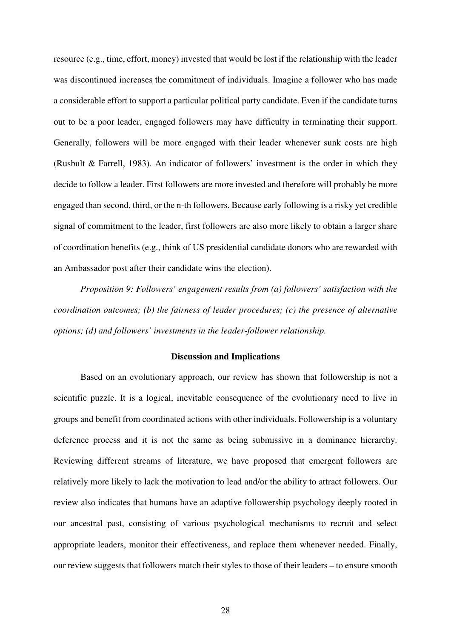resource (e.g., time, effort, money) invested that would be lost if the relationship with the leader was discontinued increases the commitment of individuals. Imagine a follower who has made a considerable effort to support a particular political party candidate. Even if the candidate turns out to be a poor leader, engaged followers may have difficulty in terminating their support. Generally, followers will be more engaged with their leader whenever sunk costs are high (Rusbult & Farrell, 1983). An indicator of followers' investment is the order in which they decide to follow a leader. First followers are more invested and therefore will probably be more engaged than second, third, or the n-th followers. Because early following is a risky yet credible signal of commitment to the leader, first followers are also more likely to obtain a larger share of coordination benefits (e.g., think of US presidential candidate donors who are rewarded with an Ambassador post after their candidate wins the election).

*Proposition 9: Followers' engagement results from (a) followers' satisfaction with the coordination outcomes; (b) the fairness of leader procedures; (c) the presence of alternative options; (d) and followers' investments in the leader-follower relationship.*

#### **Discussion and Implications**

Based on an evolutionary approach, our review has shown that followership is not a scientific puzzle. It is a logical, inevitable consequence of the evolutionary need to live in groups and benefit from coordinated actions with other individuals. Followership is a voluntary deference process and it is not the same as being submissive in a dominance hierarchy. Reviewing different streams of literature, we have proposed that emergent followers are relatively more likely to lack the motivation to lead and/or the ability to attract followers. Our review also indicates that humans have an adaptive followership psychology deeply rooted in our ancestral past, consisting of various psychological mechanisms to recruit and select appropriate leaders, monitor their effectiveness, and replace them whenever needed. Finally, our review suggests that followers match their styles to those of their leaders – to ensure smooth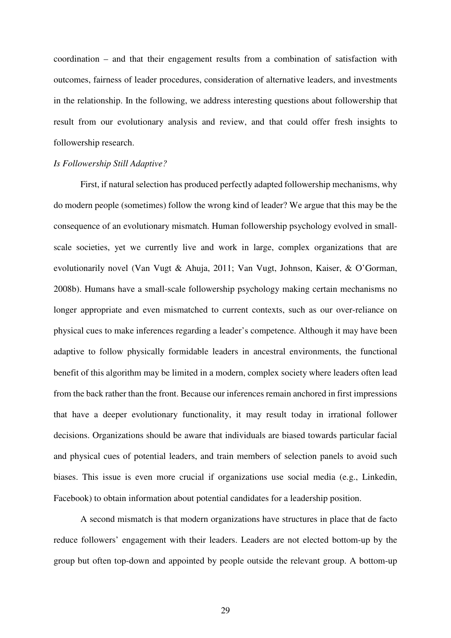coordination – and that their engagement results from a combination of satisfaction with outcomes, fairness of leader procedures, consideration of alternative leaders, and investments in the relationship. In the following, we address interesting questions about followership that result from our evolutionary analysis and review, and that could offer fresh insights to followership research.

## *Is Followership Still Adaptive?*

First, if natural selection has produced perfectly adapted followership mechanisms, why do modern people (sometimes) follow the wrong kind of leader? We argue that this may be the consequence of an evolutionary mismatch. Human followership psychology evolved in smallscale societies, yet we currently live and work in large, complex organizations that are evolutionarily novel (Van Vugt & Ahuja, 2011; Van Vugt, Johnson, Kaiser, & O'Gorman, 2008b). Humans have a small-scale followership psychology making certain mechanisms no longer appropriate and even mismatched to current contexts, such as our over-reliance on physical cues to make inferences regarding a leader's competence. Although it may have been adaptive to follow physically formidable leaders in ancestral environments, the functional benefit of this algorithm may be limited in a modern, complex society where leaders often lead from the back rather than the front. Because our inferences remain anchored in first impressions that have a deeper evolutionary functionality, it may result today in irrational follower decisions. Organizations should be aware that individuals are biased towards particular facial and physical cues of potential leaders, and train members of selection panels to avoid such biases. This issue is even more crucial if organizations use social media (e.g., Linkedin, Facebook) to obtain information about potential candidates for a leadership position.

A second mismatch is that modern organizations have structures in place that de facto reduce followers' engagement with their leaders. Leaders are not elected bottom-up by the group but often top-down and appointed by people outside the relevant group. A bottom-up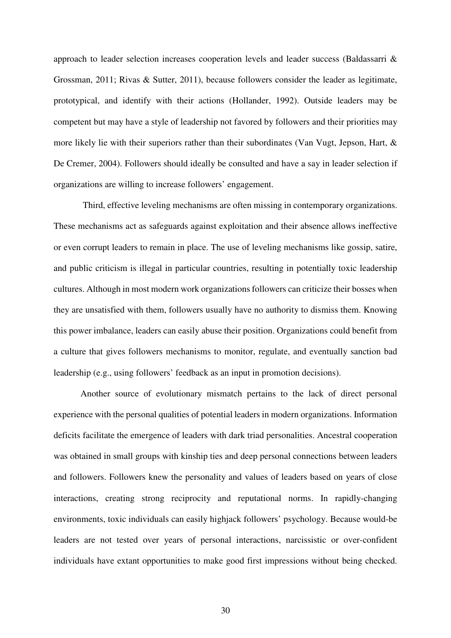approach to leader selection increases cooperation levels and leader success (Baldassarri & Grossman, 2011; Rivas & Sutter, 2011), because followers consider the leader as legitimate, prototypical, and identify with their actions (Hollander, 1992). Outside leaders may be competent but may have a style of leadership not favored by followers and their priorities may more likely lie with their superiors rather than their subordinates (Van Vugt, Jepson, Hart, & De Cremer, 2004). Followers should ideally be consulted and have a say in leader selection if organizations are willing to increase followers' engagement.

 Third, effective leveling mechanisms are often missing in contemporary organizations. These mechanisms act as safeguards against exploitation and their absence allows ineffective or even corrupt leaders to remain in place. The use of leveling mechanisms like gossip, satire, and public criticism is illegal in particular countries, resulting in potentially toxic leadership cultures. Although in most modern work organizations followers can criticize their bosses when they are unsatisfied with them, followers usually have no authority to dismiss them. Knowing this power imbalance, leaders can easily abuse their position. Organizations could benefit from a culture that gives followers mechanisms to monitor, regulate, and eventually sanction bad leadership (e.g., using followers' feedback as an input in promotion decisions).

Another source of evolutionary mismatch pertains to the lack of direct personal experience with the personal qualities of potential leaders in modern organizations. Information deficits facilitate the emergence of leaders with dark triad personalities. Ancestral cooperation was obtained in small groups with kinship ties and deep personal connections between leaders and followers. Followers knew the personality and values of leaders based on years of close interactions, creating strong reciprocity and reputational norms. In rapidly-changing environments, toxic individuals can easily highjack followers' psychology. Because would-be leaders are not tested over years of personal interactions, narcissistic or over-confident individuals have extant opportunities to make good first impressions without being checked.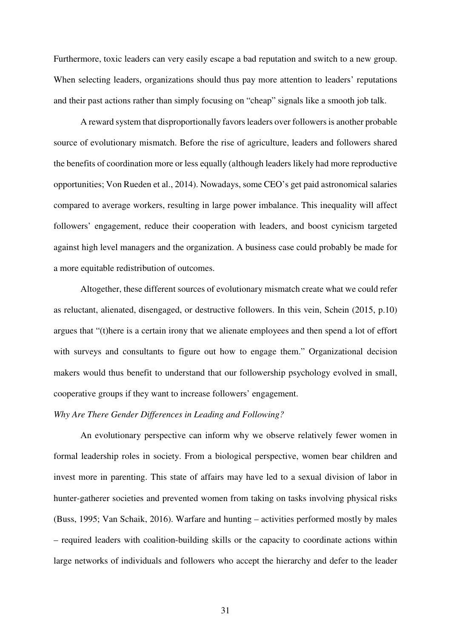Furthermore, toxic leaders can very easily escape a bad reputation and switch to a new group. When selecting leaders, organizations should thus pay more attention to leaders' reputations and their past actions rather than simply focusing on "cheap" signals like a smooth job talk.

A reward system that disproportionally favors leaders over followers is another probable source of evolutionary mismatch. Before the rise of agriculture, leaders and followers shared the benefits of coordination more or less equally (although leaders likely had more reproductive opportunities; Von Rueden et al., 2014). Nowadays, some CEO's get paid astronomical salaries compared to average workers, resulting in large power imbalance. This inequality will affect followers' engagement, reduce their cooperation with leaders, and boost cynicism targeted against high level managers and the organization. A business case could probably be made for a more equitable redistribution of outcomes.

Altogether, these different sources of evolutionary mismatch create what we could refer as reluctant, alienated, disengaged, or destructive followers. In this vein, Schein (2015, p.10) argues that "(t)here is a certain irony that we alienate employees and then spend a lot of effort with surveys and consultants to figure out how to engage them." Organizational decision makers would thus benefit to understand that our followership psychology evolved in small, cooperative groups if they want to increase followers' engagement.

# *Why Are There Gender Differences in Leading and Following?*

 An evolutionary perspective can inform why we observe relatively fewer women in formal leadership roles in society. From a biological perspective, women bear children and invest more in parenting. This state of affairs may have led to a sexual division of labor in hunter-gatherer societies and prevented women from taking on tasks involving physical risks (Buss, 1995; Van Schaik, 2016). Warfare and hunting – activities performed mostly by males – required leaders with coalition-building skills or the capacity to coordinate actions within large networks of individuals and followers who accept the hierarchy and defer to the leader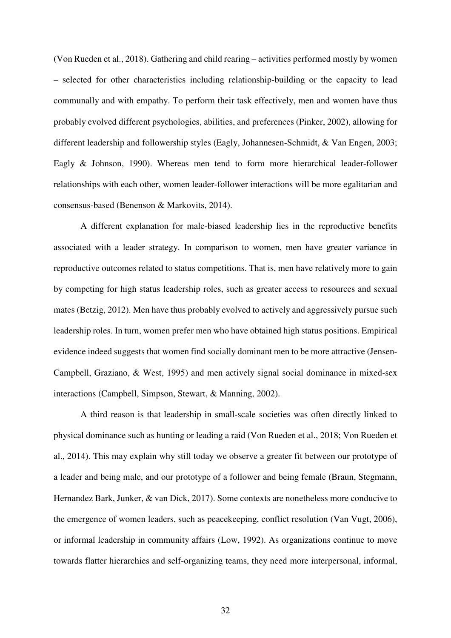(Von Rueden et al., 2018). Gathering and child rearing – activities performed mostly by women – selected for other characteristics including relationship-building or the capacity to lead communally and with empathy. To perform their task effectively, men and women have thus probably evolved different psychologies, abilities, and preferences (Pinker, 2002), allowing for different leadership and followership styles (Eagly, Johannesen-Schmidt, & Van Engen, 2003; Eagly & Johnson, 1990). Whereas men tend to form more hierarchical leader-follower relationships with each other, women leader-follower interactions will be more egalitarian and consensus-based (Benenson & Markovits, 2014).

 A different explanation for male-biased leadership lies in the reproductive benefits associated with a leader strategy. In comparison to women, men have greater variance in reproductive outcomes related to status competitions. That is, men have relatively more to gain by competing for high status leadership roles, such as greater access to resources and sexual mates (Betzig, 2012). Men have thus probably evolved to actively and aggressively pursue such leadership roles. In turn, women prefer men who have obtained high status positions. Empirical evidence indeed suggests that women find socially dominant men to be more attractive (Jensen-Campbell, Graziano, & West, 1995) and men actively signal social dominance in mixed-sex interactions (Campbell, Simpson, Stewart, & Manning, 2002).

A third reason is that leadership in small-scale societies was often directly linked to physical dominance such as hunting or leading a raid (Von Rueden et al., 2018; Von Rueden et al., 2014). This may explain why still today we observe a greater fit between our prototype of a leader and being male, and our prototype of a follower and being female (Braun, Stegmann, Hernandez Bark, Junker, & van Dick, 2017). Some contexts are nonetheless more conducive to the emergence of women leaders, such as peacekeeping, conflict resolution (Van Vugt, 2006), or informal leadership in community affairs (Low, 1992). As organizations continue to move towards flatter hierarchies and self-organizing teams, they need more interpersonal, informal,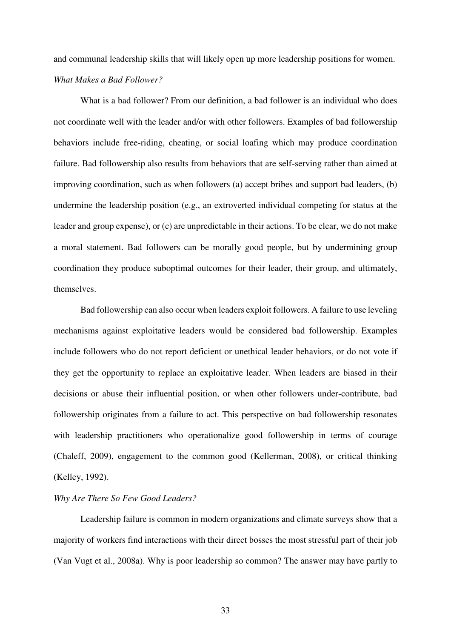and communal leadership skills that will likely open up more leadership positions for women. *What Makes a Bad Follower?* 

What is a bad follower? From our definition, a bad follower is an individual who does not coordinate well with the leader and/or with other followers. Examples of bad followership behaviors include free-riding, cheating, or social loafing which may produce coordination failure. Bad followership also results from behaviors that are self-serving rather than aimed at improving coordination, such as when followers (a) accept bribes and support bad leaders, (b) undermine the leadership position (e.g., an extroverted individual competing for status at the leader and group expense), or (c) are unpredictable in their actions. To be clear, we do not make a moral statement. Bad followers can be morally good people, but by undermining group coordination they produce suboptimal outcomes for their leader, their group, and ultimately, themselves.

Bad followership can also occur when leaders exploit followers. A failure to use leveling mechanisms against exploitative leaders would be considered bad followership. Examples include followers who do not report deficient or unethical leader behaviors, or do not vote if they get the opportunity to replace an exploitative leader. When leaders are biased in their decisions or abuse their influential position, or when other followers under-contribute, bad followership originates from a failure to act. This perspective on bad followership resonates with leadership practitioners who operationalize good followership in terms of courage (Chaleff, 2009), engagement to the common good (Kellerman, 2008), or critical thinking (Kelley, 1992).

## *Why Are There So Few Good Leaders?*

Leadership failure is common in modern organizations and climate surveys show that a majority of workers find interactions with their direct bosses the most stressful part of their job (Van Vugt et al., 2008a). Why is poor leadership so common? The answer may have partly to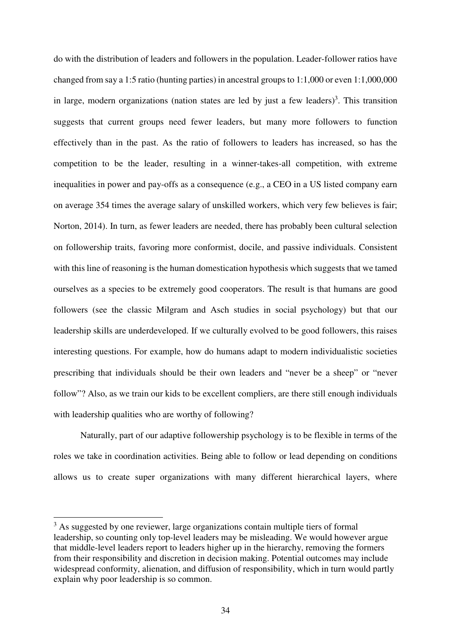do with the distribution of leaders and followers in the population. Leader-follower ratios have changed from say a 1:5 ratio (hunting parties) in ancestral groups to 1:1,000 or even 1:1,000,000 in large, modern organizations (nation states are led by just a few leaders)<sup>3</sup>. This transition suggests that current groups need fewer leaders, but many more followers to function effectively than in the past. As the ratio of followers to leaders has increased, so has the competition to be the leader, resulting in a winner-takes-all competition, with extreme inequalities in power and pay-offs as a consequence (e.g., a CEO in a US listed company earn on average 354 times the average salary of unskilled workers, which very few believes is fair; Norton, 2014). In turn, as fewer leaders are needed, there has probably been cultural selection on followership traits, favoring more conformist, docile, and passive individuals. Consistent with this line of reasoning is the human domestication hypothesis which suggests that we tamed ourselves as a species to be extremely good cooperators. The result is that humans are good followers (see the classic Milgram and Asch studies in social psychology) but that our leadership skills are underdeveloped. If we culturally evolved to be good followers, this raises interesting questions. For example, how do humans adapt to modern individualistic societies prescribing that individuals should be their own leaders and "never be a sheep" or "never follow"? Also, as we train our kids to be excellent compliers, are there still enough individuals with leadership qualities who are worthy of following?

Naturally, part of our adaptive followership psychology is to be flexible in terms of the roles we take in coordination activities. Being able to follow or lead depending on conditions allows us to create super organizations with many different hierarchical layers, where

 $\overline{a}$ 

<sup>&</sup>lt;sup>3</sup> As suggested by one reviewer, large organizations contain multiple tiers of formal leadership, so counting only top-level leaders may be misleading. We would however argue that middle-level leaders report to leaders higher up in the hierarchy, removing the formers from their responsibility and discretion in decision making. Potential outcomes may include widespread conformity, alienation, and diffusion of responsibility, which in turn would partly explain why poor leadership is so common.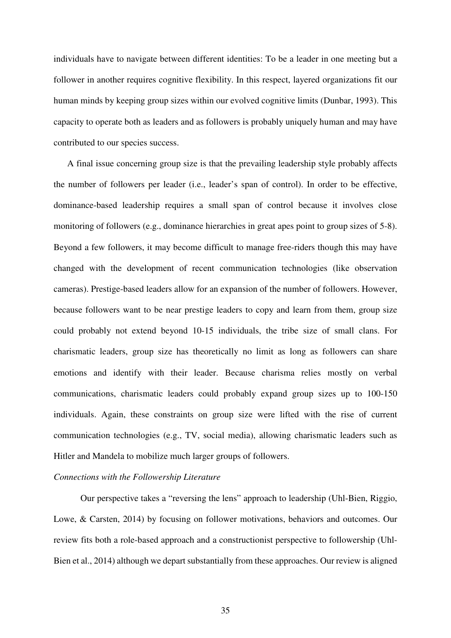individuals have to navigate between different identities: To be a leader in one meeting but a follower in another requires cognitive flexibility. In this respect, layered organizations fit our human minds by keeping group sizes within our evolved cognitive limits (Dunbar, 1993). This capacity to operate both as leaders and as followers is probably uniquely human and may have contributed to our species success.

A final issue concerning group size is that the prevailing leadership style probably affects the number of followers per leader (i.e., leader's span of control). In order to be effective, dominance-based leadership requires a small span of control because it involves close monitoring of followers (e.g., dominance hierarchies in great apes point to group sizes of 5-8). Beyond a few followers, it may become difficult to manage free-riders though this may have changed with the development of recent communication technologies (like observation cameras). Prestige-based leaders allow for an expansion of the number of followers. However, because followers want to be near prestige leaders to copy and learn from them, group size could probably not extend beyond 10-15 individuals, the tribe size of small clans. For charismatic leaders, group size has theoretically no limit as long as followers can share emotions and identify with their leader. Because charisma relies mostly on verbal communications, charismatic leaders could probably expand group sizes up to 100-150 individuals. Again, these constraints on group size were lifted with the rise of current communication technologies (e.g., TV, social media), allowing charismatic leaders such as Hitler and Mandela to mobilize much larger groups of followers.

# *Connections with the Followership Literature*

Our perspective takes a "reversing the lens" approach to leadership (Uhl-Bien, Riggio, Lowe, & Carsten, 2014) by focusing on follower motivations, behaviors and outcomes. Our review fits both a role-based approach and a constructionist perspective to followership (Uhl-Bien et al., 2014) although we depart substantially from these approaches. Our review is aligned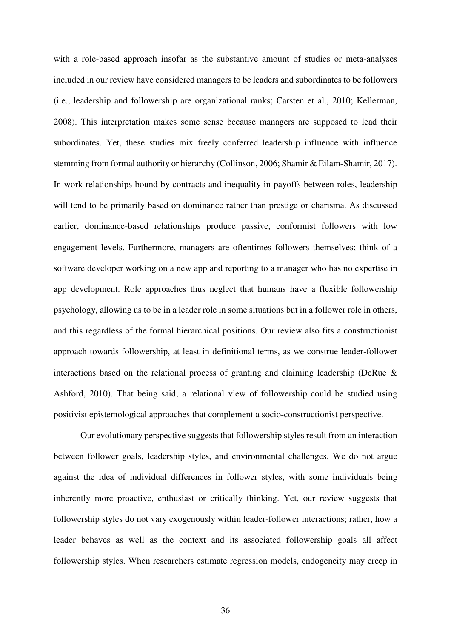with a role-based approach insofar as the substantive amount of studies or meta-analyses included in our review have considered managers to be leaders and subordinates to be followers (i.e., leadership and followership are organizational ranks; Carsten et al., 2010; Kellerman, 2008). This interpretation makes some sense because managers are supposed to lead their subordinates. Yet, these studies mix freely conferred leadership influence with influence stemming from formal authority or hierarchy (Collinson, 2006; Shamir & Eilam-Shamir, 2017). In work relationships bound by contracts and inequality in payoffs between roles, leadership will tend to be primarily based on dominance rather than prestige or charisma. As discussed earlier, dominance-based relationships produce passive, conformist followers with low engagement levels. Furthermore, managers are oftentimes followers themselves; think of a software developer working on a new app and reporting to a manager who has no expertise in app development. Role approaches thus neglect that humans have a flexible followership psychology, allowing us to be in a leader role in some situations but in a follower role in others, and this regardless of the formal hierarchical positions. Our review also fits a constructionist approach towards followership, at least in definitional terms, as we construe leader-follower interactions based on the relational process of granting and claiming leadership (DeRue & Ashford, 2010). That being said, a relational view of followership could be studied using positivist epistemological approaches that complement a socio-constructionist perspective.

Our evolutionary perspective suggests that followership styles result from an interaction between follower goals, leadership styles, and environmental challenges. We do not argue against the idea of individual differences in follower styles, with some individuals being inherently more proactive, enthusiast or critically thinking. Yet, our review suggests that followership styles do not vary exogenously within leader-follower interactions; rather, how a leader behaves as well as the context and its associated followership goals all affect followership styles. When researchers estimate regression models, endogeneity may creep in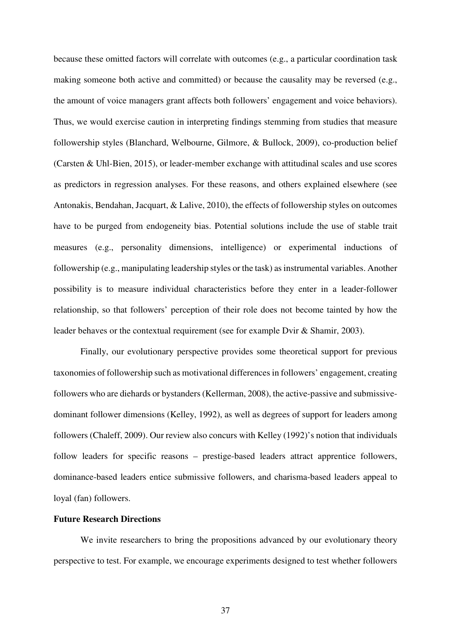because these omitted factors will correlate with outcomes (e.g., a particular coordination task making someone both active and committed) or because the causality may be reversed (e.g., the amount of voice managers grant affects both followers' engagement and voice behaviors). Thus, we would exercise caution in interpreting findings stemming from studies that measure followership styles (Blanchard, Welbourne, Gilmore, & Bullock, 2009), co-production belief (Carsten & Uhl-Bien, 2015), or leader-member exchange with attitudinal scales and use scores as predictors in regression analyses. For these reasons, and others explained elsewhere (see Antonakis, Bendahan, Jacquart, & Lalive, 2010), the effects of followership styles on outcomes have to be purged from endogeneity bias. Potential solutions include the use of stable trait measures (e.g., personality dimensions, intelligence) or experimental inductions of followership (e.g., manipulating leadership styles or the task) as instrumental variables. Another possibility is to measure individual characteristics before they enter in a leader-follower relationship, so that followers' perception of their role does not become tainted by how the leader behaves or the contextual requirement (see for example Dvir & Shamir, 2003).

Finally, our evolutionary perspective provides some theoretical support for previous taxonomies of followership such as motivational differences in followers' engagement, creating followers who are diehards or bystanders (Kellerman, 2008), the active-passive and submissivedominant follower dimensions (Kelley, 1992), as well as degrees of support for leaders among followers (Chaleff, 2009). Our review also concurs with Kelley (1992)'s notion that individuals follow leaders for specific reasons – prestige-based leaders attract apprentice followers, dominance-based leaders entice submissive followers, and charisma-based leaders appeal to loyal (fan) followers.

# **Future Research Directions**

We invite researchers to bring the propositions advanced by our evolutionary theory perspective to test. For example, we encourage experiments designed to test whether followers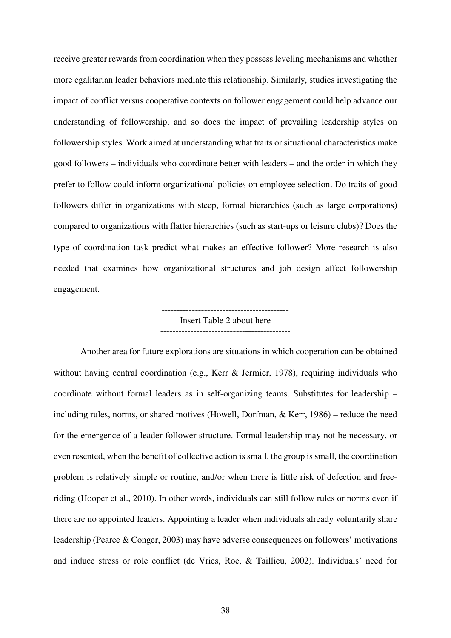receive greater rewards from coordination when they possess leveling mechanisms and whether more egalitarian leader behaviors mediate this relationship. Similarly, studies investigating the impact of conflict versus cooperative contexts on follower engagement could help advance our understanding of followership, and so does the impact of prevailing leadership styles on followership styles. Work aimed at understanding what traits or situational characteristics make good followers – individuals who coordinate better with leaders – and the order in which they prefer to follow could inform organizational policies on employee selection. Do traits of good followers differ in organizations with steep, formal hierarchies (such as large corporations) compared to organizations with flatter hierarchies (such as start-ups or leisure clubs)? Does the type of coordination task predict what makes an effective follower? More research is also needed that examines how organizational structures and job design affect followership engagement.

> ------------------------------------------ Insert Table 2 about here

Another area for future explorations are situations in which cooperation can be obtained without having central coordination (e.g., Kerr & Jermier, 1978), requiring individuals who coordinate without formal leaders as in self-organizing teams. Substitutes for leadership – including rules, norms, or shared motives (Howell, Dorfman, & Kerr, 1986) – reduce the need for the emergence of a leader-follower structure. Formal leadership may not be necessary, or even resented, when the benefit of collective action is small, the group is small, the coordination problem is relatively simple or routine, and/or when there is little risk of defection and freeriding (Hooper et al., 2010). In other words, individuals can still follow rules or norms even if there are no appointed leaders. Appointing a leader when individuals already voluntarily share leadership (Pearce & Conger, 2003) may have adverse consequences on followers' motivations and induce stress or role conflict (de Vries, Roe, & Taillieu, 2002). Individuals' need for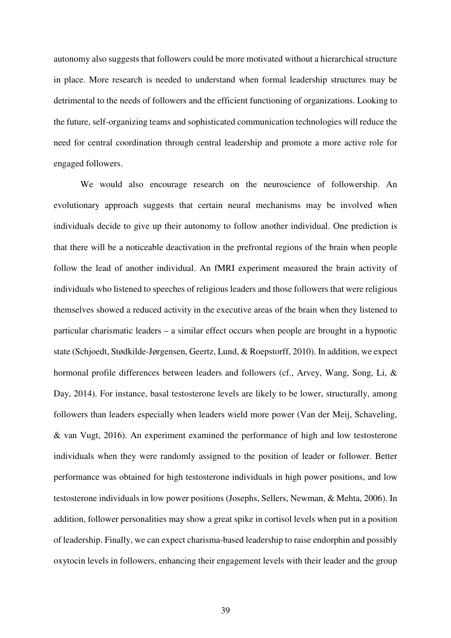autonomy also suggests that followers could be more motivated without a hierarchical structure in place. More research is needed to understand when formal leadership structures may be detrimental to the needs of followers and the efficient functioning of organizations. Looking to the future, self-organizing teams and sophisticated communication technologies will reduce the need for central coordination through central leadership and promote a more active role for engaged followers.

We would also encourage research on the neuroscience of followership. An evolutionary approach suggests that certain neural mechanisms may be involved when individuals decide to give up their autonomy to follow another individual. One prediction is that there will be a noticeable deactivation in the prefrontal regions of the brain when people follow the lead of another individual. An fMRI experiment measured the brain activity of individuals who listened to speeches of religious leaders and those followers that were religious themselves showed a reduced activity in the executive areas of the brain when they listened to particular charismatic leaders – a similar effect occurs when people are brought in a hypnotic state (Schjoedt, Stødkilde-Jørgensen, Geertz, Lund, & Roepstorff, 2010). In addition, we expect hormonal profile differences between leaders and followers (cf., Arvey, Wang, Song, Li, & Day, 2014). For instance, basal testosterone levels are likely to be lower, structurally, among followers than leaders especially when leaders wield more power (Van der Meij, Schaveling, & van Vugt, 2016). An experiment examined the performance of high and low testosterone individuals when they were randomly assigned to the position of leader or follower. Better performance was obtained for high testosterone individuals in high power positions, and low testosterone individuals in low power positions (Josephs, Sellers, Newman, & Mehta, 2006). In addition, follower personalities may show a great spike in cortisol levels when put in a position of leadership. Finally, we can expect charisma-based leadership to raise endorphin and possibly oxytocin levels in followers, enhancing their engagement levels with their leader and the group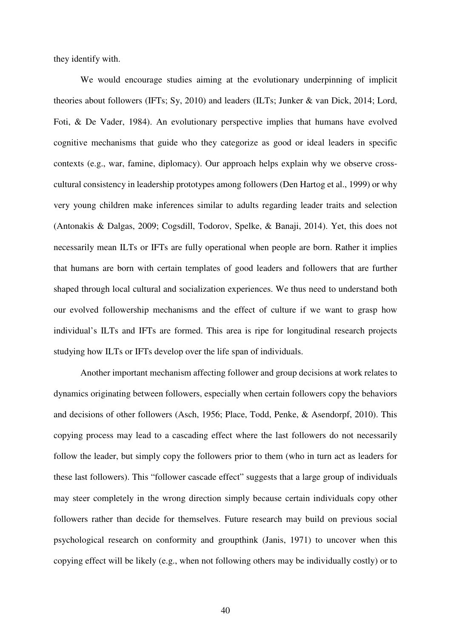they identify with.

We would encourage studies aiming at the evolutionary underpinning of implicit theories about followers (IFTs; Sy, 2010) and leaders (ILTs; Junker & van Dick, 2014; Lord, Foti, & De Vader, 1984). An evolutionary perspective implies that humans have evolved cognitive mechanisms that guide who they categorize as good or ideal leaders in specific contexts (e.g., war, famine, diplomacy). Our approach helps explain why we observe crosscultural consistency in leadership prototypes among followers (Den Hartog et al., 1999) or why very young children make inferences similar to adults regarding leader traits and selection (Antonakis & Dalgas, 2009; Cogsdill, Todorov, Spelke, & Banaji, 2014). Yet, this does not necessarily mean ILTs or IFTs are fully operational when people are born. Rather it implies that humans are born with certain templates of good leaders and followers that are further shaped through local cultural and socialization experiences. We thus need to understand both our evolved followership mechanisms and the effect of culture if we want to grasp how individual's ILTs and IFTs are formed. This area is ripe for longitudinal research projects studying how ILTs or IFTs develop over the life span of individuals.

Another important mechanism affecting follower and group decisions at work relates to dynamics originating between followers, especially when certain followers copy the behaviors and decisions of other followers (Asch, 1956; Place, Todd, Penke, & Asendorpf, 2010). This copying process may lead to a cascading effect where the last followers do not necessarily follow the leader, but simply copy the followers prior to them (who in turn act as leaders for these last followers). This "follower cascade effect" suggests that a large group of individuals may steer completely in the wrong direction simply because certain individuals copy other followers rather than decide for themselves. Future research may build on previous social psychological research on conformity and groupthink (Janis, 1971) to uncover when this copying effect will be likely (e.g., when not following others may be individually costly) or to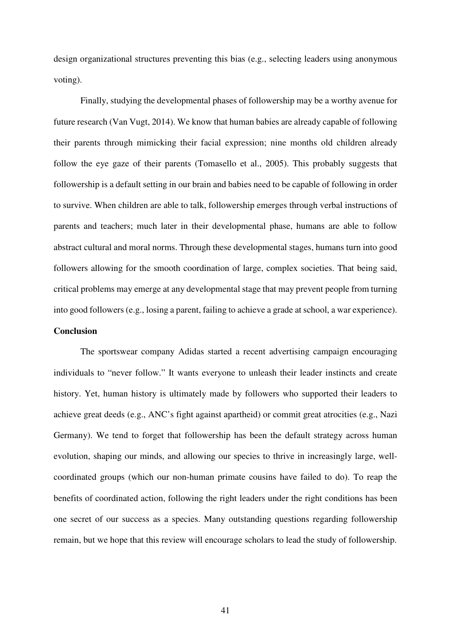design organizational structures preventing this bias (e.g., selecting leaders using anonymous voting).

Finally, studying the developmental phases of followership may be a worthy avenue for future research (Van Vugt, 2014). We know that human babies are already capable of following their parents through mimicking their facial expression; nine months old children already follow the eye gaze of their parents (Tomasello et al., 2005). This probably suggests that followership is a default setting in our brain and babies need to be capable of following in order to survive. When children are able to talk, followership emerges through verbal instructions of parents and teachers; much later in their developmental phase, humans are able to follow abstract cultural and moral norms. Through these developmental stages, humans turn into good followers allowing for the smooth coordination of large, complex societies. That being said, critical problems may emerge at any developmental stage that may prevent people from turning into good followers (e.g., losing a parent, failing to achieve a grade at school, a war experience).

# **Conclusion**

 The sportswear company Adidas started a recent advertising campaign encouraging individuals to "never follow." It wants everyone to unleash their leader instincts and create history. Yet, human history is ultimately made by followers who supported their leaders to achieve great deeds (e.g., ANC's fight against apartheid) or commit great atrocities (e.g., Nazi Germany). We tend to forget that followership has been the default strategy across human evolution, shaping our minds, and allowing our species to thrive in increasingly large, wellcoordinated groups (which our non-human primate cousins have failed to do). To reap the benefits of coordinated action, following the right leaders under the right conditions has been one secret of our success as a species. Many outstanding questions regarding followership remain, but we hope that this review will encourage scholars to lead the study of followership.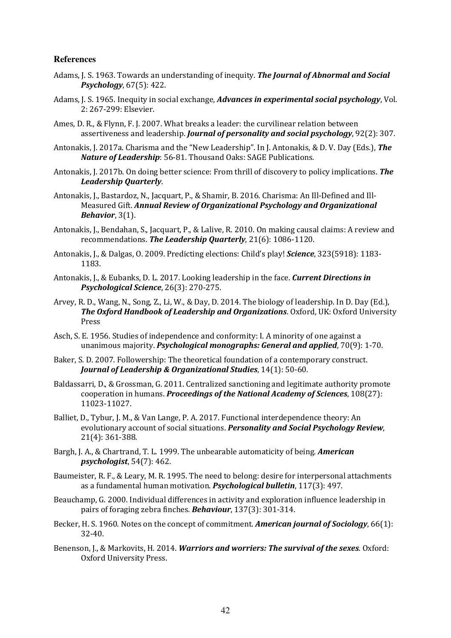# **References**

- Adams, J. S. 1963. Towards an understanding of inequity. *The Journal of Abnormal and Social Psychology*, 67(5): 422.
- Adams, J. S. 1965. Inequity in social exchange, *Advances in experimental social psychology*, Vol. 2: 267-299: Elsevier.
- Ames, D. R., & Flynn, F. J. 2007. What breaks a leader: the curvilinear relation between assertiveness and leadership. *Journal of personality and social psychology*, 92(2): 307.
- Antonakis, J. 2017a. Charisma and the "New Leadership". In J. Antonakis, & D. V. Day (Eds.), *The Nature of Leadership*: 56-81. Thousand Oaks: SAGE Publications.
- Antonakis, J. 2017b. On doing better science: From thrill of discovery to policy implications. *The Leadership Quarterly*.
- Antonakis, J., Bastardoz, N., Jacquart, P., & Shamir, B. 2016. Charisma: An Ill-Defined and Ill-Measured Gift. *Annual Review of Organizational Psychology and Organizational Behavior*, 3(1).
- Antonakis, J., Bendahan, S., Jacquart, P., & Lalive, R. 2010. On making causal claims: A review and recommendations. *The Leadership Quarterly*, 21(6): 1086-1120.
- Antonakis, J., & Dalgas, O. 2009. Predicting elections: Child's play! *Science*, 323(5918): 1183- 1183.
- Antonakis, J., & Eubanks, D. L. 2017. Looking leadership in the face. *Current Directions in Psychological Science*, 26(3): 270-275.
- Arvey, R. D., Wang, N., Song, Z., Li, W., & Day, D. 2014. The biology of leadership. In D. Day (Ed.), *The Oxford Handbook of Leadership and Organizations*. Oxford, UK: Oxford University Press
- Asch, S. E. 1956. Studies of independence and conformity: I. A minority of one against a unanimous majority. *Psychological monographs: General and applied*, 70(9): 1-70.
- Baker, S. D. 2007. Followership: The theoretical foundation of a contemporary construct. *Journal of Leadership & Organizational Studies*, 14(1): 50-60.
- Baldassarri, D., & Grossman, G. 2011. Centralized sanctioning and legitimate authority promote cooperation in humans. *Proceedings of the National Academy of Sciences*, 108(27): 11023-11027.
- Balliet, D., Tybur, J. M., & Van Lange, P. A. 2017. Functional interdependence theory: An evolutionary account of social situations. *Personality and Social Psychology Review*, 21(4): 361-388.
- Bargh, J. A., & Chartrand, T. L. 1999. The unbearable automaticity of being. *American psychologist*, 54(7): 462.
- Baumeister, R. F., & Leary, M. R. 1995. The need to belong: desire for interpersonal attachments as a fundamental human motivation. *Psychological bulletin*, 117(3): 497.
- Beauchamp, G. 2000. Individual differences in activity and exploration influence leadership in pairs of foraging zebra finches. *Behaviour*, 137(3): 301-314.
- Becker, H. S. 1960. Notes on the concept of commitment. *American journal of Sociology*, 66(1): 32-40.
- Benenson, J., & Markovits, H. 2014. *Warriors and worriers: The survival of the sexes*. Oxford: Oxford University Press.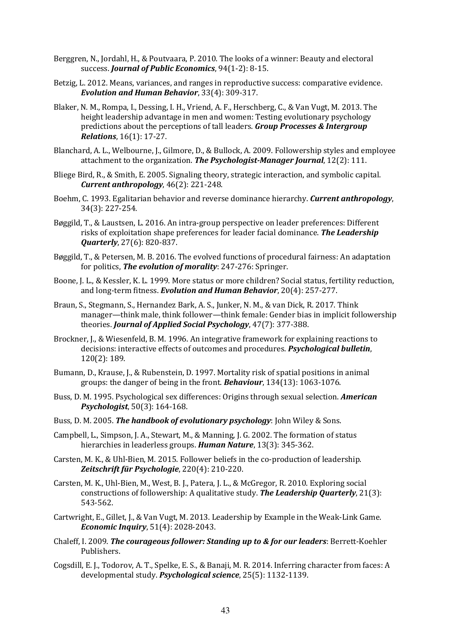- Berggren, N., Jordahl, H., & Poutvaara, P. 2010. The looks of a winner: Beauty and electoral success. *Journal of Public Economics*, 94(1-2): 8-15.
- Betzig, L. 2012. Means, variances, and ranges in reproductive success: comparative evidence. *Evolution and Human Behavior*, 33(4): 309-317.
- Blaker, N. M., Rompa, I., Dessing, I. H., Vriend, A. F., Herschberg, C., & Van Vugt, M. 2013. The height leadership advantage in men and women: Testing evolutionary psychology predictions about the perceptions of tall leaders. *Group Processes & Intergroup Relations*, 16(1): 17-27.
- Blanchard, A. L., Welbourne, J., Gilmore, D., & Bullock, A. 2009. Followership styles and employee attachment to the organization. *The Psychologist-Manager Journal*, 12(2): 111.
- Bliege Bird, R., & Smith, E. 2005. Signaling theory, strategic interaction, and symbolic capital. *Current anthropology*, 46(2): 221-248.
- Boehm, C. 1993. Egalitarian behavior and reverse dominance hierarchy. *Current anthropology*, 34(3): 227-254.
- Bøggild, T., & Laustsen, L. 2016. An intra-group perspective on leader preferences: Different risks of exploitation shape preferences for leader facial dominance. *The Leadership Quarterly*, 27(6): 820-837.
- Bøggild, T., & Petersen, M. B. 2016. The evolved functions of procedural fairness: An adaptation for politics, *The evolution of morality*: 247-276: Springer.
- Boone, J. L., & Kessler, K. L. 1999. More status or more children? Social status, fertility reduction, and long-term fitness. *Evolution and Human Behavior*, 20(4): 257-277.
- Braun, S., Stegmann, S., Hernandez Bark, A. S., Junker, N. M., & van Dick, R. 2017. Think manager—think male, think follower—think female: Gender bias in implicit followership theories. *Journal of Applied Social Psychology*, 47(7): 377-388.
- Brockner, J., & Wiesenfeld, B. M. 1996. An integrative framework for explaining reactions to decisions: interactive effects of outcomes and procedures. *Psychological bulletin*, 120(2): 189.
- Bumann, D., Krause, J., & Rubenstein, D. 1997. Mortality risk of spatial positions in animal groups: the danger of being in the front. *Behaviour*, 134(13): 1063-1076.
- Buss, D. M. 1995. Psychological sex differences: Origins through sexual selection. *American Psychologist*, 50(3): 164-168.
- Buss, D. M. 2005. *The handbook of evolutionary psychology*: John Wiley & Sons.
- Campbell, L., Simpson, J. A., Stewart, M., & Manning, J. G. 2002. The formation of status hierarchies in leaderless groups. *Human Nature*, 13(3): 345-362.
- Carsten, M. K., & Uhl-Bien, M. 2015. Follower beliefs in the co-production of leadership. *Zeitschrift für Psychologie*, 220(4): 210-220.
- Carsten, M. K., Uhl-Bien, M., West, B. J., Patera, J. L., & McGregor, R. 2010. Exploring social constructions of followership: A qualitative study. *The Leadership Quarterly*, 21(3): 543-562.
- Cartwright, E., Gillet, J., & Van Vugt, M. 2013. Leadership by Example in the Weak-Link Game. *Economic Inquiry*, 51(4): 2028-2043.
- Chaleff, I. 2009. *The courageous follower: Standing up to & for our leaders*: Berrett-Koehler Publishers.
- Cogsdill, E. J., Todorov, A. T., Spelke, E. S., & Banaji, M. R. 2014. Inferring character from faces: A developmental study. *Psychological science*, 25(5): 1132-1139.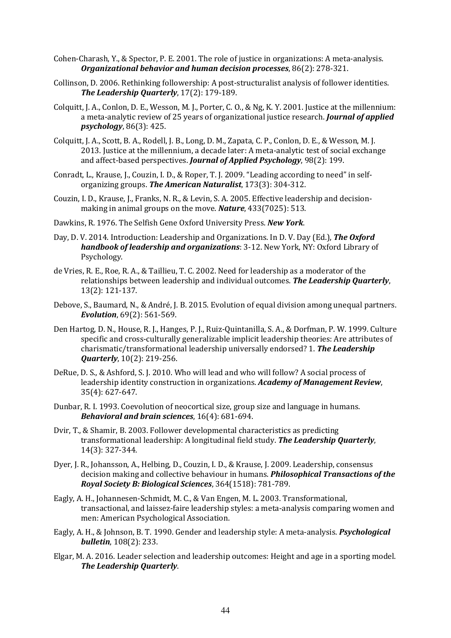- Cohen-Charash, Y., & Spector, P. E. 2001. The role of justice in organizations: A meta-analysis. *Organizational behavior and human decision processes*, 86(2): 278-321.
- Collinson, D. 2006. Rethinking followership: A post-structuralist analysis of follower identities. *The Leadership Quarterly*, 17(2): 179-189.
- Colquitt, J. A., Conlon, D. E., Wesson, M. J., Porter, C. O., & Ng, K. Y. 2001. Justice at the millennium: a meta-analytic review of 25 years of organizational justice research. *Journal of applied psychology*, 86(3): 425.
- Colquitt, J. A., Scott, B. A., Rodell, J. B., Long, D. M., Zapata, C. P., Conlon, D. E., & Wesson, M. J. 2013. Justice at the millennium, a decade later: A meta-analytic test of social exchange and affect-based perspectives. *Journal of Applied Psychology*, 98(2): 199.
- Conradt, L., Krause, J., Couzin, I. D., & Roper, T. J. 2009. "Leading according to need" in selforganizing groups. *The American Naturalist*, 173(3): 304-312.
- Couzin, I. D., Krause, J., Franks, N. R., & Levin, S. A. 2005. Effective leadership and decisionmaking in animal groups on the move. *Nature*, 433(7025): 513.
- Dawkins, R. 1976. The Selfish Gene Oxford University Press. *New York*.
- Day, D. V. 2014. Introduction: Leadership and Organizations. In D. V. Day (Ed.), *The Oxford handbook of leadership and organizations*: 3-12. New York, NY: Oxford Library of Psychology.
- de Vries, R. E., Roe, R. A., & Taillieu, T. C. 2002. Need for leadership as a moderator of the relationships between leadership and individual outcomes. *The Leadership Quarterly*, 13(2): 121-137.
- Debove, S., Baumard, N., & André, J. B. 2015. Evolution of equal division among unequal partners. *Evolution*, 69(2): 561-569.
- Den Hartog, D. N., House, R. J., Hanges, P. J., Ruiz-Quintanilla, S. A., & Dorfman, P. W. 1999. Culture specific and cross-culturally generalizable implicit leadership theories: Are attributes of charismatic/transformational leadership universally endorsed? 1. *The Leadership Quarterly*, 10(2): 219-256.
- DeRue, D. S., & Ashford, S. J. 2010. Who will lead and who will follow? A social process of leadership identity construction in organizations. *Academy of Management Review*, 35(4): 627-647.
- Dunbar, R. I. 1993. Coevolution of neocortical size, group size and language in humans. *Behavioral and brain sciences*, 16(4): 681-694.
- Dvir, T., & Shamir, B. 2003. Follower developmental characteristics as predicting transformational leadership: A longitudinal field study. *The Leadership Quarterly*, 14(3): 327-344.
- Dyer, J. R., Johansson, A., Helbing, D., Couzin, I. D., & Krause, J. 2009. Leadership, consensus decision making and collective behaviour in humans. *Philosophical Transactions of the Royal Society B: Biological Sciences*, 364(1518): 781-789.
- Eagly, A. H., Johannesen-Schmidt, M. C., & Van Engen, M. L. 2003. Transformational, transactional, and laissez-faire leadership styles: a meta-analysis comparing women and men: American Psychological Association.
- Eagly, A. H., & Johnson, B. T. 1990. Gender and leadership style: A meta-analysis. *Psychological bulletin*, 108(2): 233.
- Elgar, M. A. 2016. Leader selection and leadership outcomes: Height and age in a sporting model. *The Leadership Quarterly*.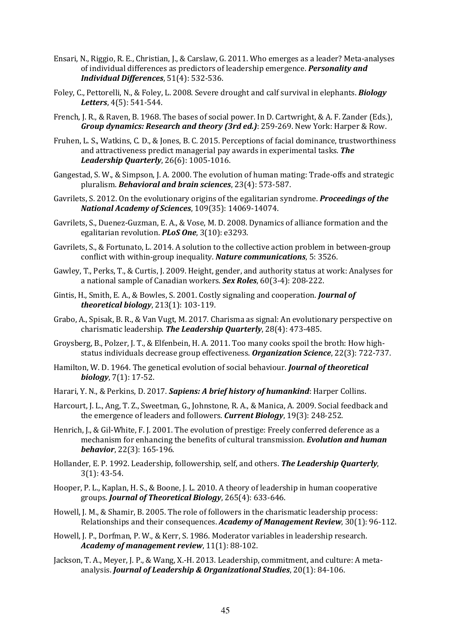- Ensari, N., Riggio, R. E., Christian, J., & Carslaw, G. 2011. Who emerges as a leader? Meta-analyses of individual differences as predictors of leadership emergence. *Personality and Individual Differences*, 51(4): 532-536.
- Foley, C., Pettorelli, N., & Foley, L. 2008. Severe drought and calf survival in elephants. *Biology Letters*, 4(5): 541-544.
- French, J. R., & Raven, B. 1968. The bases of social power. In D. Cartwright, & A. F. Zander (Eds.), *Group dynamics: Research and theory (3rd ed.)*: 259-269. New York: Harper & Row.
- Fruhen, L. S., Watkins, C. D., & Jones, B. C. 2015. Perceptions of facial dominance, trustworthiness and attractiveness predict managerial pay awards in experimental tasks. *The Leadership Quarterly*, 26(6): 1005-1016.
- Gangestad, S. W., & Simpson, J. A. 2000. The evolution of human mating: Trade-offs and strategic pluralism. *Behavioral and brain sciences*, 23(4): 573-587.
- Gavrilets, S. 2012. On the evolutionary origins of the egalitarian syndrome. *Proceedings of the National Academy of Sciences*, 109(35): 14069-14074.
- Gavrilets, S., Duenez-Guzman, E. A., & Vose, M. D. 2008. Dynamics of alliance formation and the egalitarian revolution. *PLoS One*, 3(10): e3293.
- Gavrilets, S., & Fortunato, L. 2014. A solution to the collective action problem in between-group conflict with within-group inequality. *Nature communications*, 5: 3526.
- Gawley, T., Perks, T., & Curtis, J. 2009. Height, gender, and authority status at work: Analyses for a national sample of Canadian workers. *Sex Roles*, 60(3-4): 208-222.
- Gintis, H., Smith, E. A., & Bowles, S. 2001. Costly signaling and cooperation. *Journal of theoretical biology*, 213(1): 103-119.
- Grabo, A., Spisak, B. R., & Van Vugt, M. 2017. Charisma as signal: An evolutionary perspective on charismatic leadership. *The Leadership Quarterly*, 28(4): 473-485.
- Groysberg, B., Polzer, J. T., & Elfenbein, H. A. 2011. Too many cooks spoil the broth: How highstatus individuals decrease group effectiveness. *Organization Science*, 22(3): 722-737.
- Hamilton, W. D. 1964. The genetical evolution of social behaviour. *Journal of theoretical biology*, 7(1): 17-52.
- Harari, Y. N., & Perkins, D. 2017. *Sapiens: A brief history of humankind*: Harper Collins.
- Harcourt, J. L., Ang, T. Z., Sweetman, G., Johnstone, R. A., & Manica, A. 2009. Social feedback and the emergence of leaders and followers. *Current Biology*, 19(3): 248-252.
- Henrich, J., & Gil-White, F. J. 2001. The evolution of prestige: Freely conferred deference as a mechanism for enhancing the benefits of cultural transmission. *Evolution and human behavior*, 22(3): 165-196.
- Hollander, E. P. 1992. Leadership, followership, self, and others. *The Leadership Quarterly*, 3(1): 43-54.
- Hooper, P. L., Kaplan, H. S., & Boone, J. L. 2010. A theory of leadership in human cooperative groups. *Journal of Theoretical Biology*, 265(4): 633-646.
- Howell, J. M., & Shamir, B. 2005. The role of followers in the charismatic leadership process: Relationships and their consequences. *Academy of Management Review*, 30(1): 96-112.
- Howell, J. P., Dorfman, P. W., & Kerr, S. 1986. Moderator variables in leadership research. *Academy of management review*, 11(1): 88-102.
- Jackson, T. A., Meyer, J. P., & Wang, X.-H. 2013. Leadership, commitment, and culture: A metaanalysis. *Journal of Leadership & Organizational Studies*, 20(1): 84-106.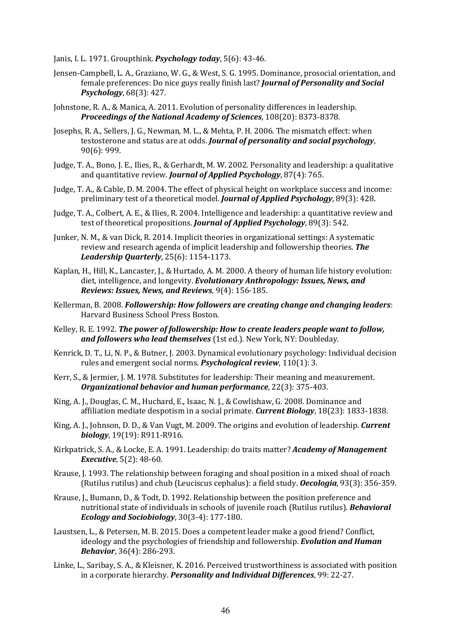Janis, I. L. 1971. Groupthink. *Psychology today*, 5(6): 43-46.

- Jensen-Campbell, L. A., Graziano, W. G., & West, S. G. 1995. Dominance, prosocial orientation, and female preferences: Do nice guys really finish last? *Journal of Personality and Social Psychology*, 68(3): 427.
- Johnstone, R. A., & Manica, A. 2011. Evolution of personality differences in leadership. *Proceedings of the National Academy of Sciences*, 108(20): 8373-8378.
- Josephs, R. A., Sellers, J. G., Newman, M. L., & Mehta, P. H. 2006. The mismatch effect: when testosterone and status are at odds. *Journal of personality and social psychology*, 90(6): 999.
- Judge, T. A., Bono, J. E., Ilies, R., & Gerhardt, M. W. 2002. Personality and leadership: a qualitative and quantitative review. *Journal of Applied Psychology*, 87(4): 765.
- Judge, T. A., & Cable, D. M. 2004. The effect of physical height on workplace success and income: preliminary test of a theoretical model. *Journal of Applied Psychology*, 89(3): 428.
- Judge, T. A., Colbert, A. E., & Ilies, R. 2004. Intelligence and leadership: a quantitative review and test of theoretical propositions. *Journal of Applied Psychology*, 89(3): 542.
- Junker, N. M., & van Dick, R. 2014. Implicit theories in organizational settings: A systematic review and research agenda of implicit leadership and followership theories. *The Leadership Quarterly*, 25(6): 1154-1173.
- Kaplan, H., Hill, K., Lancaster, J., & Hurtado, A. M. 2000. A theory of human life history evolution: diet, intelligence, and longevity. *Evolutionary Anthropology: Issues, News, and Reviews: Issues, News, and Reviews*, 9(4): 156-185.
- Kellerman, B. 2008. *Followership: How followers are creating change and changing leaders*: Harvard Business School Press Boston.
- Kelley, R. E. 1992. *The power of followership: How to create leaders people want to follow, and followers who lead themselves* (1st ed.). New York, NY: Doubleday.
- Kenrick, D. T., Li, N. P., & Butner, J. 2003. Dynamical evolutionary psychology: Individual decision rules and emergent social norms. *Psychological review*, 110(1): 3.
- Kerr, S., & Jermier, J. M. 1978. Substitutes for leadership: Their meaning and measurement. *Organizational behavior and human performance*, 22(3): 375-403.
- King, A. J., Douglas, C. M., Huchard, E., Isaac, N. J., & Cowlishaw, G. 2008. Dominance and affiliation mediate despotism in a social primate. *Current Biology*, 18(23): 1833-1838.
- King, A. J., Johnson, D. D., & Van Vugt, M. 2009. The origins and evolution of leadership. *Current biology*, 19(19): R911-R916.
- Kirkpatrick, S. A., & Locke, E. A. 1991. Leadership: do traits matter? *Academy of Management Executive*, 5(2): 48-60.
- Krause, J. 1993. The relationship between foraging and shoal position in a mixed shoal of roach (Rutilus rutilus) and chub (Leuciscus cephalus): a field study. *Oecologia*, 93(3): 356-359.
- Krause, J., Bumann, D., & Todt, D. 1992. Relationship between the position preference and nutritional state of individuals in schools of juvenile roach (Rutilus rutilus). *Behavioral Ecology and Sociobiology*, 30(3-4): 177-180.
- Laustsen, L., & Petersen, M. B. 2015. Does a competent leader make a good friend? Conflict, ideology and the psychologies of friendship and followership. *Evolution and Human Behavior*, 36(4): 286-293.
- Linke, L., Saribay, S. A., & Kleisner, K. 2016. Perceived trustworthiness is associated with position in a corporate hierarchy. *Personality and Individual Differences*, 99: 22-27.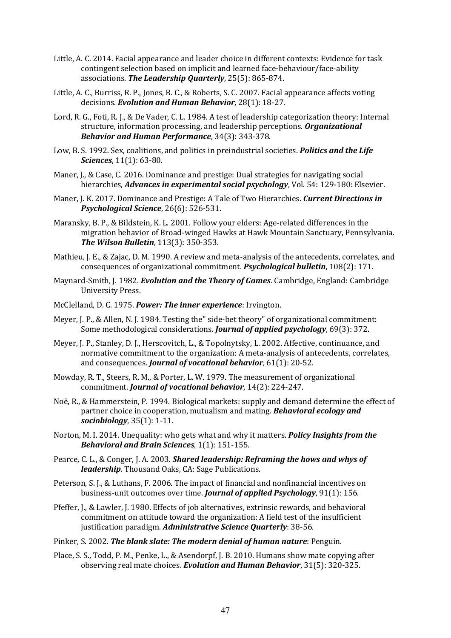- Little, A. C. 2014. Facial appearance and leader choice in different contexts: Evidence for task contingent selection based on implicit and learned face-behaviour/face-ability associations. *The Leadership Quarterly*, 25(5): 865-874.
- Little, A. C., Burriss, R. P., Jones, B. C., & Roberts, S. C. 2007. Facial appearance affects voting decisions. *Evolution and Human Behavior*, 28(1): 18-27.
- Lord, R. G., Foti, R. J., & De Vader, C. L. 1984. A test of leadership categorization theory: Internal structure, information processing, and leadership perceptions. *Organizational Behavior and Human Performance*, 34(3): 343-378.
- Low, B. S. 1992. Sex, coalitions, and politics in preindustrial societies. *Politics and the Life Sciences*, 11(1): 63-80.
- Maner, J., & Case, C. 2016. Dominance and prestige: Dual strategies for navigating social hierarchies, *Advances in experimental social psychology*, Vol. 54: 129-180: Elsevier.
- Maner, J. K. 2017. Dominance and Prestige: A Tale of Two Hierarchies. *Current Directions in Psychological Science*, 26(6): 526-531.
- Maransky, B. P., & Bildstein, K. L. 2001. Follow your elders: Age-related differences in the migration behavior of Broad-winged Hawks at Hawk Mountain Sanctuary, Pennsylvania. *The Wilson Bulletin*, 113(3): 350-353.
- Mathieu, J. E., & Zajac, D. M. 1990. A review and meta-analysis of the antecedents, correlates, and consequences of organizational commitment. *Psychological bulletin*, 108(2): 171.
- Maynard-Smith, J. 1982. *Evolution and the Theory of Games*. Cambridge, England: Cambridge University Press.
- McClelland, D. C. 1975. *Power: The inner experience*: Irvington.
- Meyer, J. P., & Allen, N. J. 1984. Testing the" side-bet theory" of organizational commitment: Some methodological considerations. *Journal of applied psychology*, 69(3): 372.
- Meyer, J. P., Stanley, D. J., Herscovitch, L., & Topolnytsky, L. 2002. Affective, continuance, and normative commitment to the organization: A meta-analysis of antecedents, correlates, and consequences. *Journal of vocational behavior*, 61(1): 20-52.
- Mowday, R. T., Steers, R. M., & Porter, L. W. 1979. The measurement of organizational commitment. *Journal of vocational behavior*, 14(2): 224-247.
- Noë, R., & Hammerstein, P. 1994. Biological markets: supply and demand determine the effect of partner choice in cooperation, mutualism and mating. *Behavioral ecology and sociobiology*, 35(1): 1-11.
- Norton, M. I. 2014. Unequality: who gets what and why it matters. *Policy Insights from the Behavioral and Brain Sciences*, 1(1): 151-155.
- Pearce, C. L., & Conger, J. A. 2003. *Shared leadership: Reframing the hows and whys of leadership*. Thousand Oaks, CA: Sage Publications.
- Peterson, S. J., & Luthans, F. 2006. The impact of financial and nonfinancial incentives on business-unit outcomes over time. *Journal of applied Psychology*, 91(1): 156.
- Pfeffer, J., & Lawler, J. 1980. Effects of job alternatives, extrinsic rewards, and behavioral commitment on attitude toward the organization: A field test of the insufficient justification paradigm. *Administrative Science Quarterly*: 38-56.
- Pinker, S. 2002. *The blank slate: The modern denial of human nature*: Penguin.
- Place, S. S., Todd, P. M., Penke, L., & Asendorpf, J. B. 2010. Humans show mate copying after observing real mate choices. *Evolution and Human Behavior*, 31(5): 320-325.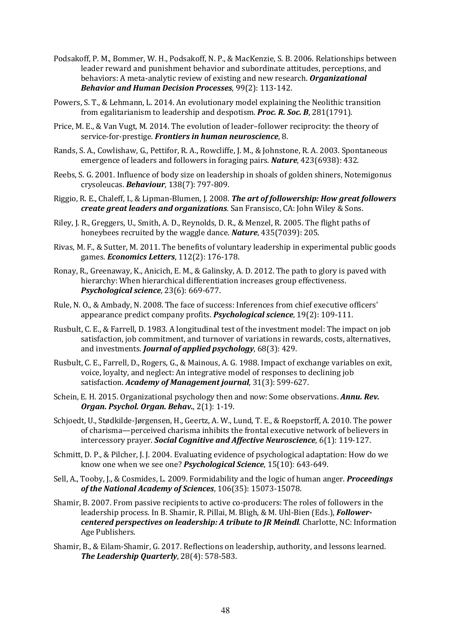- Podsakoff, P. M., Bommer, W. H., Podsakoff, N. P., & MacKenzie, S. B. 2006. Relationships between leader reward and punishment behavior and subordinate attitudes, perceptions, and behaviors: A meta-analytic review of existing and new research. *Organizational Behavior and Human Decision Processes*, 99(2): 113-142.
- Powers, S. T., & Lehmann, L. 2014. An evolutionary model explaining the Neolithic transition from egalitarianism to leadership and despotism. *Proc. R. Soc. B*, 281(1791).
- Price, M. E., & Van Vugt, M. 2014. The evolution of leader–follower reciprocity: the theory of service-for-prestige. *Frontiers in human neuroscience*, 8.
- Rands, S. A., Cowlishaw, G., Pettifor, R. A., Rowcliffe, J. M., & Johnstone, R. A. 2003. Spontaneous emergence of leaders and followers in foraging pairs. *Nature*, 423(6938): 432.
- Reebs, S. G. 2001. Influence of body size on leadership in shoals of golden shiners, Notemigonus crysoleucas. *Behaviour*, 138(7): 797-809.
- Riggio, R. E., Chaleff, I., & Lipman-Blumen, J. 2008. *The art of followership: How great followers create great leaders and organizations*. San Fransisco, CA: John Wiley & Sons.
- Riley, J. R., Greggers, U., Smith, A. D., Reynolds, D. R., & Menzel, R. 2005. The flight paths of honeybees recruited by the waggle dance. *Nature*, 435(7039): 205.
- Rivas, M. F., & Sutter, M. 2011. The benefits of voluntary leadership in experimental public goods games. *Economics Letters*, 112(2): 176-178.
- Ronay, R., Greenaway, K., Anicich, E. M., & Galinsky, A. D. 2012. The path to glory is paved with hierarchy: When hierarchical differentiation increases group effectiveness. *Psychological science*, 23(6): 669-677.
- Rule, N. O., & Ambady, N. 2008. The face of success: Inferences from chief executive officers' appearance predict company profits. *Psychological science*, 19(2): 109-111.
- Rusbult, C. E., & Farrell, D. 1983. A longitudinal test of the investment model: The impact on job satisfaction, job commitment, and turnover of variations in rewards, costs, alternatives, and investments. *Journal of applied psychology*, 68(3): 429.
- Rusbult, C. E., Farrell, D., Rogers, G., & Mainous, A. G. 1988. Impact of exchange variables on exit, voice, loyalty, and neglect: An integrative model of responses to declining job satisfaction. *Academy of Management journal*, 31(3): 599-627.
- Schein, E. H. 2015. Organizational psychology then and now: Some observations. *Annu. Rev. Organ. Psychol. Organ. Behav.*, 2(1): 1-19.
- Schjoedt, U., Stødkilde-Jørgensen, H., Geertz, A. W., Lund, T. E., & Roepstorff, A. 2010. The power of charisma—perceived charisma inhibits the frontal executive network of believers in intercessory prayer. *Social Cognitive and Affective Neuroscience*, 6(1): 119-127.
- Schmitt, D. P., & Pilcher, J. J. 2004. Evaluating evidence of psychological adaptation: How do we know one when we see one? *Psychological Science*, 15(10): 643-649.
- Sell, A., Tooby, J., & Cosmides, L. 2009. Formidability and the logic of human anger. *Proceedings of the National Academy of Sciences*, 106(35): 15073-15078.
- Shamir, B. 2007. From passive recipients to active co-producers: The roles of followers in the leadership process. In B. Shamir, R. Pillai, M. Bligh, & M. Uhl-Bien (Eds.), *Followercentered perspectives on leadership: A tribute to JR Meindl*. Charlotte, NC: Information Age Publishers.
- Shamir, B., & Eilam-Shamir, G. 2017. Reflections on leadership, authority, and lessons learned. *The Leadership Quarterly*, 28(4): 578-583.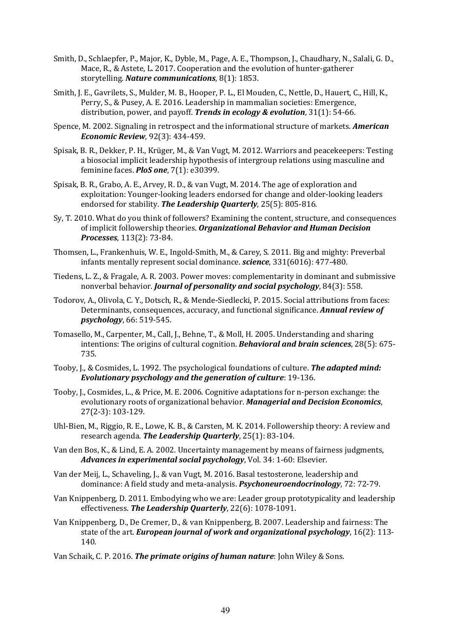- Smith, D., Schlaepfer, P., Major, K., Dyble, M., Page, A. E., Thompson, J., Chaudhary, N., Salali, G. D., Mace, R., & Astete, L. 2017. Cooperation and the evolution of hunter-gatherer storytelling. *Nature communications*, 8(1): 1853.
- Smith, J. E., Gavrilets, S., Mulder, M. B., Hooper, P. L., El Mouden, C., Nettle, D., Hauert, C., Hill, K., Perry, S., & Pusey, A. E. 2016. Leadership in mammalian societies: Emergence, distribution, power, and payoff. *Trends in ecology & evolution*, 31(1): 54-66.
- Spence, M. 2002. Signaling in retrospect and the informational structure of markets. *American Economic Review*, 92(3): 434-459.
- Spisak, B. R., Dekker, P. H., Krüger, M., & Van Vugt, M. 2012. Warriors and peacekeepers: Testing a biosocial implicit leadership hypothesis of intergroup relations using masculine and feminine faces. *PloS one*, 7(1): e30399.
- Spisak, B. R., Grabo, A. E., Arvey, R. D., & van Vugt, M. 2014. The age of exploration and exploitation: Younger-looking leaders endorsed for change and older-looking leaders endorsed for stability. *The Leadership Quarterly*, 25(5): 805-816.
- Sy, T. 2010. What do you think of followers? Examining the content, structure, and consequences of implicit followership theories. *Organizational Behavior and Human Decision Processes*, 113(2): 73-84.
- Thomsen, L., Frankenhuis, W. E., Ingold-Smith, M., & Carey, S. 2011. Big and mighty: Preverbal infants mentally represent social dominance. *science*, 331(6016): 477-480.
- Tiedens, L. Z., & Fragale, A. R. 2003. Power moves: complementarity in dominant and submissive nonverbal behavior. *Journal of personality and social psychology*, 84(3): 558.
- Todorov, A., Olivola, C. Y., Dotsch, R., & Mende-Siedlecki, P. 2015. Social attributions from faces: Determinants, consequences, accuracy, and functional significance. *Annual review of psychology*, 66: 519-545.
- Tomasello, M., Carpenter, M., Call, J., Behne, T., & Moll, H. 2005. Understanding and sharing intentions: The origins of cultural cognition. *Behavioral and brain sciences*, 28(5): 675- 735.
- Tooby, J., & Cosmides, L. 1992. The psychological foundations of culture. *The adapted mind: Evolutionary psychology and the generation of culture*: 19-136.
- Tooby, J., Cosmides, L., & Price, M. E. 2006. Cognitive adaptations for n-person exchange: the evolutionary roots of organizational behavior. *Managerial and Decision Economics*, 27(2-3): 103-129.
- Uhl-Bien, M., Riggio, R. E., Lowe, K. B., & Carsten, M. K. 2014. Followership theory: A review and research agenda. *The Leadership Quarterly*, 25(1): 83-104.
- Van den Bos, K., & Lind, E. A. 2002. Uncertainty management by means of fairness judgments, *Advances in experimental social psychology*, Vol. 34: 1-60: Elsevier.
- Van der Meij, L., Schaveling, J., & van Vugt, M. 2016. Basal testosterone, leadership and dominance: A field study and meta-analysis. *Psychoneuroendocrinology*, 72: 72-79.
- Van Knippenberg, D. 2011. Embodying who we are: Leader group prototypicality and leadership effectiveness. *The Leadership Quarterly*, 22(6): 1078-1091.
- Van Knippenberg, D., De Cremer, D., & van Knippenberg, B. 2007. Leadership and fairness: The state of the art. *European journal of work and organizational psychology*, 16(2): 113- 140.
- Van Schaik, C. P. 2016. *The primate origins of human nature*: John Wiley & Sons.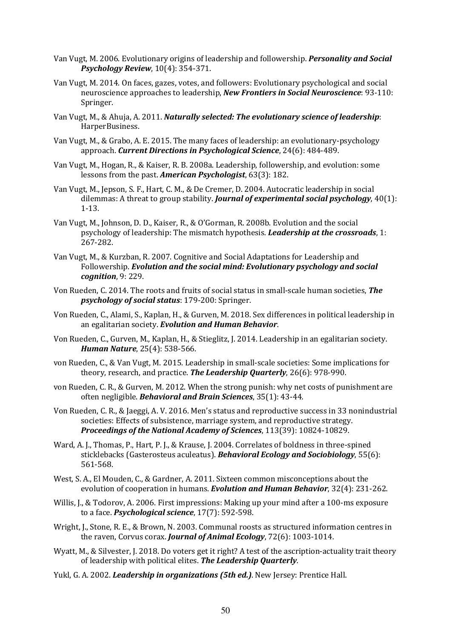- Van Vugt, M. 2006. Evolutionary origins of leadership and followership. *Personality and Social Psychology Review*, 10(4): 354-371.
- Van Vugt, M. 2014. On faces, gazes, votes, and followers: Evolutionary psychological and social neuroscience approaches to leadership, *New Frontiers in Social Neuroscience*: 93-110: Springer.
- Van Vugt, M., & Ahuja, A. 2011. *Naturally selected: The evolutionary science of leadership*: HarperBusiness.
- Van Vugt, M., & Grabo, A. E. 2015. The many faces of leadership: an evolutionary-psychology approach. *Current Directions in Psychological Science*, 24(6): 484-489.
- Van Vugt, M., Hogan, R., & Kaiser, R. B. 2008a. Leadership, followership, and evolution: some lessons from the past. *American Psychologist*, 63(3): 182.
- Van Vugt, M., Jepson, S. F., Hart, C. M., & De Cremer, D. 2004. Autocratic leadership in social dilemmas: A threat to group stability. *Journal of experimental social psychology*, 40(1): 1-13.
- Van Vugt, M., Johnson, D. D., Kaiser, R., & O'Gorman, R. 2008b. Evolution and the social psychology of leadership: The mismatch hypothesis. *Leadership at the crossroads*, 1: 267-282.
- Van Vugt, M., & Kurzban, R. 2007. Cognitive and Social Adaptations for Leadership and Followership. *Evolution and the social mind: Evolutionary psychology and social cognition*, 9: 229.
- Von Rueden, C. 2014. The roots and fruits of social status in small-scale human societies, *The psychology of social status*: 179-200: Springer.
- Von Rueden, C., Alami, S., Kaplan, H., & Gurven, M. 2018. Sex differences in political leadership in an egalitarian society. *Evolution and Human Behavior*.
- Von Rueden, C., Gurven, M., Kaplan, H., & Stieglitz, J. 2014. Leadership in an egalitarian society. *Human Nature*, 25(4): 538-566.
- von Rueden, C., & Van Vugt, M. 2015. Leadership in small-scale societies: Some implications for theory, research, and practice. *The Leadership Quarterly*, 26(6): 978-990.
- von Rueden, C. R., & Gurven, M. 2012. When the strong punish: why net costs of punishment are often negligible. *Behavioral and Brain Sciences*, 35(1): 43-44.
- Von Rueden, C. R., & Jaeggi, A. V. 2016. Men's status and reproductive success in 33 nonindustrial societies: Effects of subsistence, marriage system, and reproductive strategy. *Proceedings of the National Academy of Sciences*, 113(39): 10824-10829.
- Ward, A. J., Thomas, P., Hart, P. J., & Krause, J. 2004. Correlates of boldness in three-spined sticklebacks (Gasterosteus aculeatus). *Behavioral Ecology and Sociobiology*, 55(6): 561-568.
- West, S. A., El Mouden, C., & Gardner, A. 2011. Sixteen common misconceptions about the evolution of cooperation in humans. *Evolution and Human Behavior*, 32(4): 231-262.
- Willis, J., & Todorov, A. 2006. First impressions: Making up your mind after a 100-ms exposure to a face. *Psychological science*, 17(7): 592-598.
- Wright, J., Stone, R. E., & Brown, N. 2003. Communal roosts as structured information centres in the raven, Corvus corax. *Journal of Animal Ecology*, 72(6): 1003-1014.
- Wyatt, M., & Silvester, J. 2018. Do voters get it right? A test of the ascription-actuality trait theory of leadership with political elites. *The Leadership Quarterly*.
- Yukl, G. A. 2002. *Leadership in organizations (5th ed.)*. New Jersey: Prentice Hall.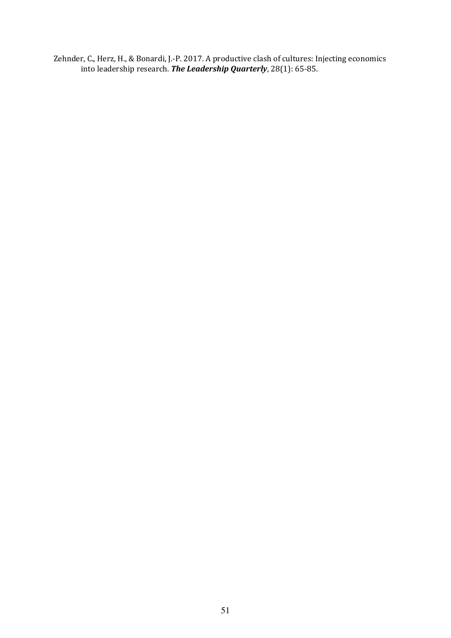Zehnder, C., Herz, H., & Bonardi, J.-P. 2017. A productive clash of cultures: Injecting economics into leadership research. *The Leadership Quarterly*, 28(1): 65-85.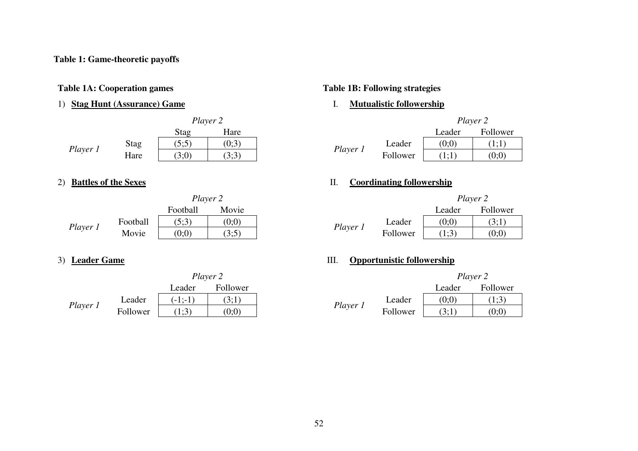# **Table 1: Game-theoretic payoffs**

# **Table 1A: Cooperation games**

## 1) **Stag Hunt (Assurance) Game**

|          |             | Player 2 |       |
|----------|-------------|----------|-------|
|          |             | Stag     | Hare  |
|          | <b>Stag</b> | (5;5)    | (0,3) |
| Player 1 | Hare        | (3:0)    | 3:3   |

## 2) **Battles of the Sexes**

|          |          | Player 2 |       |
|----------|----------|----------|-------|
|          |          | Football | Movie |
|          | Football | (5;3)    | (0;0) |
| Player 1 | Movie    | (0;0)    | (3:5) |

# 3) **Leader Game**

|          |          | Player 2  |          |
|----------|----------|-----------|----------|
|          |          | Leader    | Follower |
|          | Leader   | $(-1;-1)$ | (3;1)    |
| Player 1 | Follower | (1;3)     | (0:0)    |

# **Table 1B: Following strategies**

#### I. **Mutualistic followership**

|          |          | Player 2        |             |
|----------|----------|-----------------|-------------|
|          |          | Leader          | Follower    |
|          | Leader   | (0;0)           | (1;1)       |
| Player 1 | Follower | $^{\prime}1;1)$ | $0:0^\circ$ |

#### II.**Coordinating followership**

|          |          | Player 2 |          |
|----------|----------|----------|----------|
|          |          | Leader   | Follower |
|          | Leader   | (0:0)    | (3:1)    |
| Player 1 | Follower | (1:3)    | (0:0)    |

#### III.**Opportunistic followership**

|          |          | Player 2 |          |
|----------|----------|----------|----------|
|          |          | Leader   | Follower |
|          | Leader   | (0:0)    | (1:3)    |
| Player 1 | Follower | (3:1)    | (0:0)    |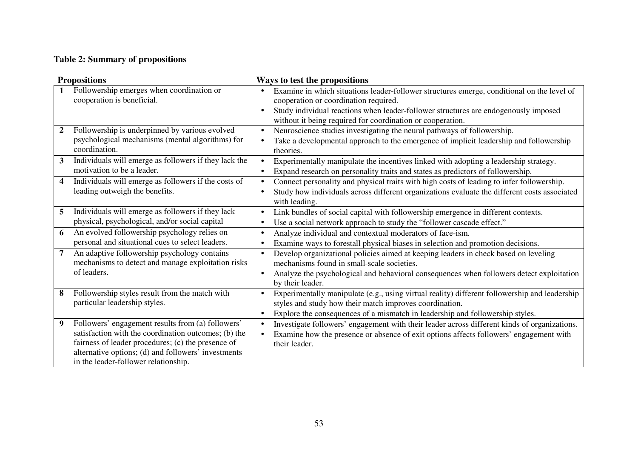# **Table 2: Summary of propositions**

|   | <b>Propositions</b>                                                                                                                                                                                                                                            | Ways to test the propositions                                                                                                                                                                                                                           |
|---|----------------------------------------------------------------------------------------------------------------------------------------------------------------------------------------------------------------------------------------------------------------|---------------------------------------------------------------------------------------------------------------------------------------------------------------------------------------------------------------------------------------------------------|
|   | Followership emerges when coordination or<br>cooperation is beneficial.                                                                                                                                                                                        | Examine in which situations leader-follower structures emerge, conditional on the level of<br>cooperation or coordination required.                                                                                                                     |
|   |                                                                                                                                                                                                                                                                | Study individual reactions when leader-follower structures are endogenously imposed<br>without it being required for coordination or cooperation.                                                                                                       |
| 2 | Followership is underpinned by various evolved<br>psychological mechanisms (mental algorithms) for<br>coordination.                                                                                                                                            | Neuroscience studies investigating the neural pathways of followership.<br>$\bullet$<br>Take a developmental approach to the emergence of implicit leadership and followership<br>theories.                                                             |
| 3 | Individuals will emerge as followers if they lack the<br>motivation to be a leader.                                                                                                                                                                            | Experimentally manipulate the incentives linked with adopting a leadership strategy.<br>Expand research on personality traits and states as predictors of followership.<br>$\bullet$                                                                    |
| 4 | Individuals will emerge as followers if the costs of<br>leading outweigh the benefits.                                                                                                                                                                         | Connect personality and physical traits with high costs of leading to infer followership.<br>$\bullet$<br>Study how individuals across different organizations evaluate the different costs associated<br>with leading.                                 |
| 5 | Individuals will emerge as followers if they lack<br>physical, psychological, and/or social capital                                                                                                                                                            | Link bundles of social capital with followership emergence in different contexts.<br>Use a social network approach to study the "follower cascade effect."<br>$\bullet$                                                                                 |
| 6 | An evolved followership psychology relies on<br>personal and situational cues to select leaders.                                                                                                                                                               | Analyze individual and contextual moderators of face-ism.<br>$\bullet$<br>Examine ways to forestall physical biases in selection and promotion decisions.                                                                                               |
| 7 | An adaptive followership psychology contains<br>mechanisms to detect and manage exploitation risks<br>of leaders.                                                                                                                                              | Develop organizational policies aimed at keeping leaders in check based on leveling<br>$\bullet$<br>mechanisms found in small-scale societies.<br>Analyze the psychological and behavioral consequences when followers detect exploitation<br>$\bullet$ |
|   |                                                                                                                                                                                                                                                                | by their leader.                                                                                                                                                                                                                                        |
| 8 | Followership styles result from the match with<br>particular leadership styles.                                                                                                                                                                                | Experimentally manipulate (e.g., using virtual reality) different followership and leadership<br>styles and study how their match improves coordination.                                                                                                |
|   |                                                                                                                                                                                                                                                                | Explore the consequences of a mismatch in leadership and followership styles.                                                                                                                                                                           |
| 9 | Followers' engagement results from (a) followers'<br>satisfaction with the coordination outcomes; (b) the<br>fairness of leader procedures; (c) the presence of<br>alternative options; (d) and followers' investments<br>in the leader-follower relationship. | Investigate followers' engagement with their leader across different kinds of organizations.<br>$\bullet$<br>Examine how the presence or absence of exit options affects followers' engagement with<br>their leader.                                    |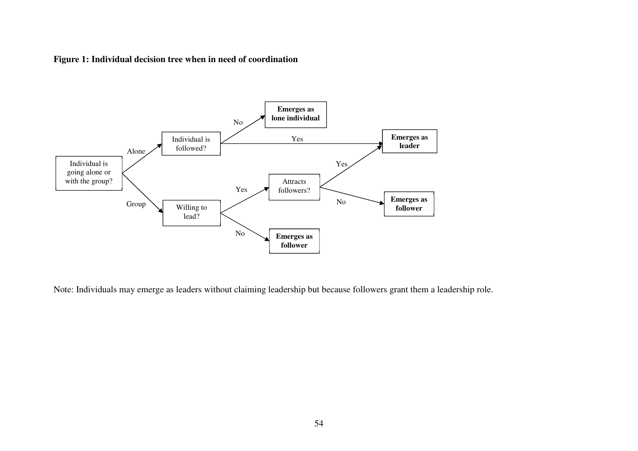# **Figure 1: Individual decision tree when in need of coordination**



Note: Individuals may emerge as leaders without claiming leadership but because followers grant them a leadership role.